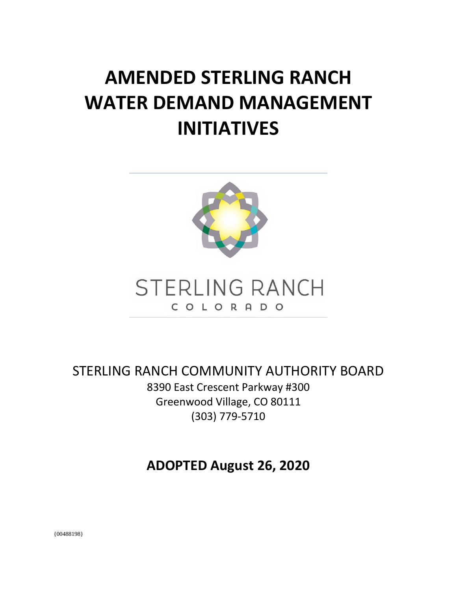# **AMENDED STERLING RANCH WATER DEMAND MANAGEMENT INITIATIVES**





STERLING RANCH COMMUNITY AUTHORITY BOARD 8390 East Crescent Parkway #300 Greenwood Village, CO 80111 (303) 779-5710

**ADOPTED August 26, 2020**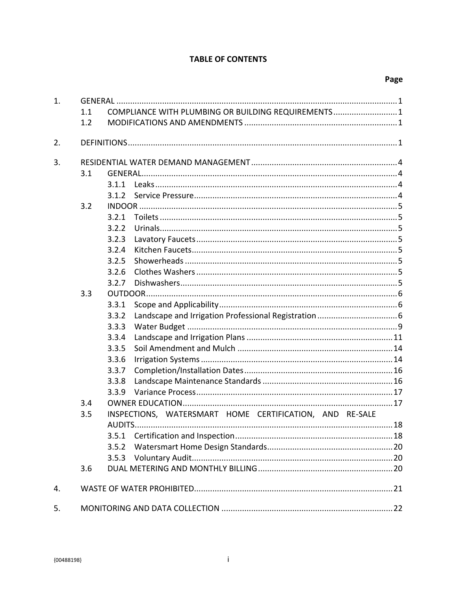#### **TABLE OF CONTENTS**

| 1. |     |                                                         |  |  |  |  |
|----|-----|---------------------------------------------------------|--|--|--|--|
|    | 1.1 | COMPLIANCE WITH PLUMBING OR BUILDING REQUIREMENTS 1     |  |  |  |  |
|    | 1.2 |                                                         |  |  |  |  |
| 2. |     |                                                         |  |  |  |  |
| 3. |     |                                                         |  |  |  |  |
|    | 3.1 |                                                         |  |  |  |  |
|    |     | 3.1.1                                                   |  |  |  |  |
|    |     | 3.1.2                                                   |  |  |  |  |
|    | 3.2 |                                                         |  |  |  |  |
|    |     | 3.2.1                                                   |  |  |  |  |
|    |     | 3.2.2                                                   |  |  |  |  |
|    |     | 3.2.3                                                   |  |  |  |  |
|    |     | 3.2.4                                                   |  |  |  |  |
|    |     | 3.2.5                                                   |  |  |  |  |
|    |     | 3.2.6                                                   |  |  |  |  |
|    |     | 3.2.7                                                   |  |  |  |  |
|    | 3.3 |                                                         |  |  |  |  |
|    |     | 3.3.1                                                   |  |  |  |  |
|    |     | 3.3.2                                                   |  |  |  |  |
|    |     | 3.3.3                                                   |  |  |  |  |
|    |     | 3.3.4                                                   |  |  |  |  |
|    |     | 3.3.5                                                   |  |  |  |  |
|    |     | 3.3.6                                                   |  |  |  |  |
|    |     | 3.3.7                                                   |  |  |  |  |
|    |     | 3.3.8                                                   |  |  |  |  |
|    |     | 3.3.9                                                   |  |  |  |  |
|    | 3.4 |                                                         |  |  |  |  |
|    | 3.5 | INSPECTIONS, WATERSMART HOME CERTIFICATION, AND RE-SALE |  |  |  |  |
|    |     | AUDITS                                                  |  |  |  |  |
|    |     | 3.5.1                                                   |  |  |  |  |
|    |     | 3.5.2                                                   |  |  |  |  |
|    |     | 3.5.3                                                   |  |  |  |  |
|    | 3.6 |                                                         |  |  |  |  |
| 4. |     |                                                         |  |  |  |  |
| 5. |     |                                                         |  |  |  |  |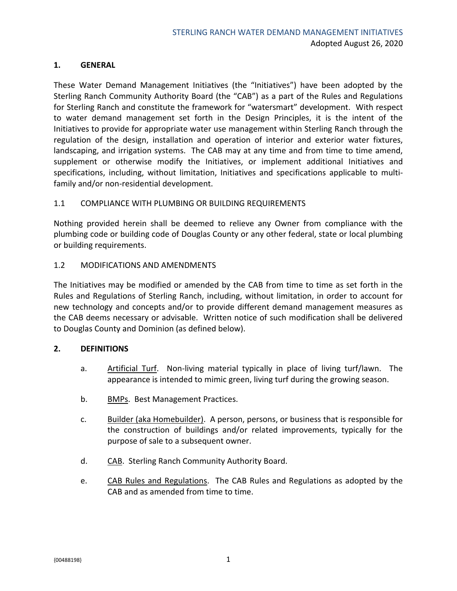#### <span id="page-2-0"></span>**1. GENERAL**

These Water Demand Management Initiatives (the "Initiatives") have been adopted by the Sterling Ranch Community Authority Board (the "CAB") as a part of the Rules and Regulations for Sterling Ranch and constitute the framework for "watersmart" development. With respect to water demand management set forth in the Design Principles, it is the intent of the Initiatives to provide for appropriate water use management within Sterling Ranch through the regulation of the design, installation and operation of interior and exterior water fixtures, landscaping, and irrigation systems. The CAB may at any time and from time to time amend, supplement or otherwise modify the Initiatives, or implement additional Initiatives and specifications, including, without limitation, Initiatives and specifications applicable to multifamily and/or non-residential development.

#### <span id="page-2-1"></span>1.1 COMPLIANCE WITH PLUMBING OR BUILDING REQUIREMENTS

Nothing provided herein shall be deemed to relieve any Owner from compliance with the plumbing code or building code of Douglas County or any other federal, state or local plumbing or building requirements.

#### <span id="page-2-2"></span>1.2 MODIFICATIONS AND AMENDMENTS

The Initiatives may be modified or amended by the CAB from time to time as set forth in the Rules and Regulations of Sterling Ranch, including, without limitation, in order to account for new technology and concepts and/or to provide different demand management measures as the CAB deems necessary or advisable. Written notice of such modification shall be delivered to Douglas County and Dominion (as defined below).

#### <span id="page-2-3"></span>**2. DEFINITIONS**

- a. Artificial Turf. Non-living material typically in place of living turf/lawn. The appearance is intended to mimic green, living turf during the growing season.
- b. BMPs. Best Management Practices.
- c. Builder (aka Homebuilder). A person, persons, or business that is responsible for the construction of buildings and/or related improvements, typically for the purpose of sale to a subsequent owner.
- d. CAB. Sterling Ranch Community Authority Board.
- e. CAB Rules and Regulations. The CAB Rules and Regulations as adopted by the CAB and as amended from time to time.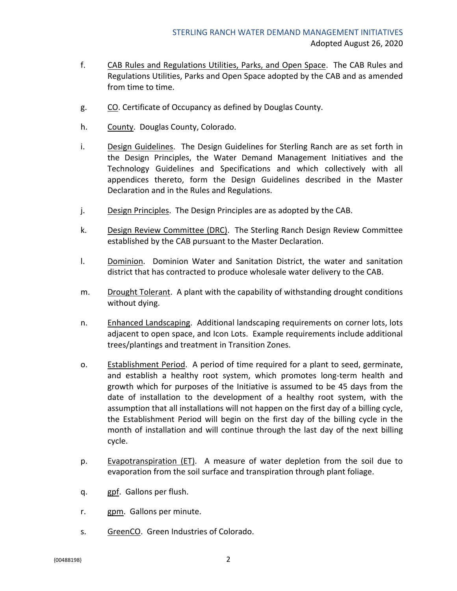- f. CAB Rules and Regulations Utilities, Parks, and Open Space. The CAB Rules and Regulations Utilities, Parks and Open Space adopted by the CAB and as amended from time to time.
- g. CO. Certificate of Occupancy as defined by Douglas County.
- h. County. Douglas County, Colorado.
- i. Design Guidelines. The Design Guidelines for Sterling Ranch are as set forth in the Design Principles, the Water Demand Management Initiatives and the Technology Guidelines and Specifications and which collectively with all appendices thereto, form the Design Guidelines described in the Master Declaration and in the Rules and Regulations.
- j. Design Principles. The Design Principles are as adopted by the CAB.
- k. Design Review Committee (DRC). The Sterling Ranch Design Review Committee established by the CAB pursuant to the Master Declaration.
- l. Dominion. Dominion Water and Sanitation District, the water and sanitation district that has contracted to produce wholesale water delivery to the CAB.
- m. Drought Tolerant. A plant with the capability of withstanding drought conditions without dying.
- n. Enhanced Landscaping. Additional landscaping requirements on corner lots, lots adjacent to open space, and Icon Lots. Example requirements include additional trees/plantings and treatment in Transition Zones.
- o. Establishment Period. A period of time required for a plant to seed, germinate, and establish a healthy root system, which promotes long-term health and growth which for purposes of the Initiative is assumed to be 45 days from the date of installation to the development of a healthy root system, with the assumption that all installations will not happen on the first day of a billing cycle, the Establishment Period will begin on the first day of the billing cycle in the month of installation and will continue through the last day of the next billing cycle.
- p. Evapotranspiration (ET). A measure of water depletion from the soil due to evaporation from the soil surface and transpiration through plant foliage.
- q. gpf. Gallons per flush.
- r. gpm. Gallons per minute.
- s. GreenCO. Green Industries of Colorado.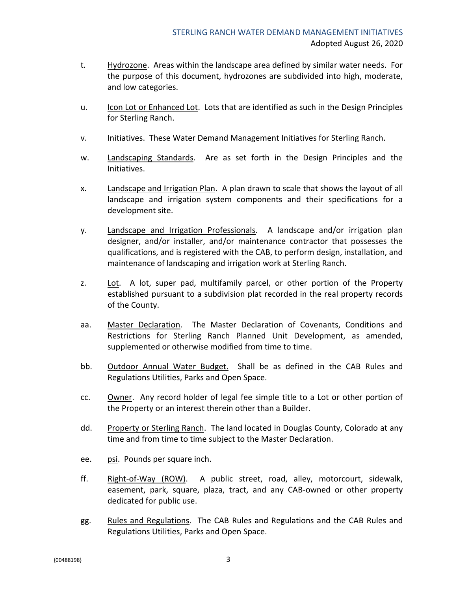- t. Hydrozone. Areas within the landscape area defined by similar water needs. For the purpose of this document, hydrozones are subdivided into high, moderate, and low categories.
- u. Icon Lot or Enhanced Lot. Lots that are identified as such in the Design Principles for Sterling Ranch.
- v. Initiatives. These Water Demand Management Initiatives for Sterling Ranch.
- w. Landscaping Standards. Are as set forth in the Design Principles and the Initiatives.
- x. Landscape and Irrigation Plan. A plan drawn to scale that shows the layout of all landscape and irrigation system components and their specifications for a development site.
- y. Landscape and Irrigation Professionals. A landscape and/or irrigation plan designer, and/or installer, and/or maintenance contractor that possesses the qualifications, and is registered with the CAB, to perform design, installation, and maintenance of landscaping and irrigation work at Sterling Ranch.
- z. Lot. A lot, super pad, multifamily parcel, or other portion of the Property established pursuant to a subdivision plat recorded in the real property records of the County.
- aa. Master Declaration. The Master Declaration of Covenants, Conditions and Restrictions for Sterling Ranch Planned Unit Development, as amended, supplemented or otherwise modified from time to time.
- bb. Outdoor Annual Water Budget. Shall be as defined in the CAB Rules and Regulations Utilities, Parks and Open Space.
- cc. Owner. Any record holder of legal fee simple title to a Lot or other portion of the Property or an interest therein other than a Builder.
- dd. Property or Sterling Ranch. The land located in Douglas County, Colorado at any time and from time to time subject to the Master Declaration.
- ee. psi. Pounds per square inch.
- ff. Right-of-Way (ROW). A public street, road, alley, motorcourt, sidewalk, easement, park, square, plaza, tract, and any CAB-owned or other property dedicated for public use.
- gg. Rules and Regulations. The CAB Rules and Regulations and the CAB Rules and Regulations Utilities, Parks and Open Space.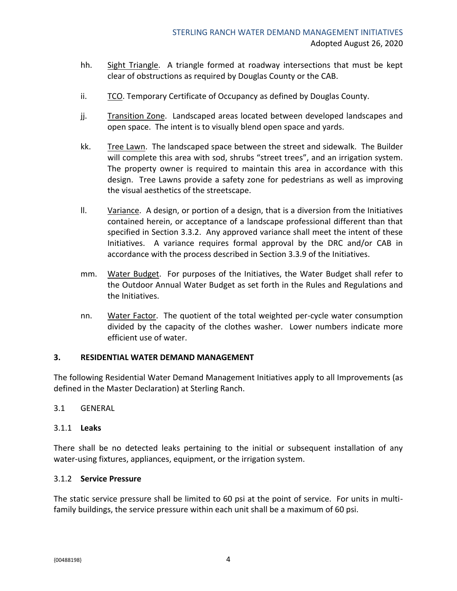- hh. Sight Triangle. A triangle formed at roadway intersections that must be kept clear of obstructions as required by Douglas County or the CAB.
- ii. TCO. Temporary Certificate of Occupancy as defined by Douglas County.
- jj. Transition Zone. Landscaped areas located between developed landscapes and open space. The intent is to visually blend open space and yards.
- kk. Tree Lawn. The landscaped space between the street and sidewalk. The Builder will complete this area with sod, shrubs "street trees", and an irrigation system. The property owner is required to maintain this area in accordance with this design. Tree Lawns provide a safety zone for pedestrians as well as improving the visual aesthetics of the streetscape.
- ll. Variance. A design, or portion of a design, that is a diversion from the Initiatives contained herein, or acceptance of a landscape professional different than that specified in Section 3.3.2. Any approved variance shall meet the intent of these Initiatives. A variance requires formal approval by the DRC and/or CAB in accordance with the process described in Section 3.3.9 of the Initiatives.
- mm. Water Budget. For purposes of the Initiatives, the Water Budget shall refer to the Outdoor Annual Water Budget as set forth in the Rules and Regulations and the Initiatives.
- nn. Water Factor. The quotient of the total weighted per-cycle water consumption divided by the capacity of the clothes washer. Lower numbers indicate more efficient use of water.

#### <span id="page-5-0"></span>**3. RESIDENTIAL WATER DEMAND MANAGEMENT**

The following Residential Water Demand Management Initiatives apply to all Improvements (as defined in the Master Declaration) at Sterling Ranch.

#### <span id="page-5-1"></span>3.1 GENERAL

#### <span id="page-5-2"></span>3.1.1 **Leaks**

There shall be no detected leaks pertaining to the initial or subsequent installation of any water-using fixtures, appliances, equipment, or the irrigation system.

#### <span id="page-5-3"></span>3.1.2 **Service Pressure**

The static service pressure shall be limited to 60 psi at the point of service. For units in multifamily buildings, the service pressure within each unit shall be a maximum of 60 psi.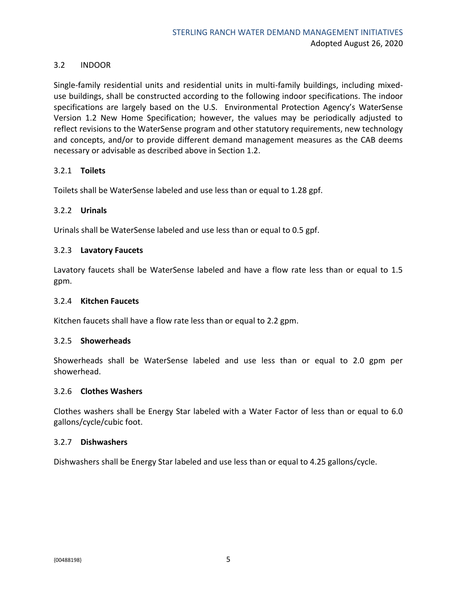#### <span id="page-6-0"></span>3.2 INDOOR

Single-family residential units and residential units in multi-family buildings, including mixeduse buildings, shall be constructed according to the following indoor specifications. The indoor specifications are largely based on the U.S. Environmental Protection Agency's WaterSense Version 1.2 New Home Specification; however, the values may be periodically adjusted to reflect revisions to the WaterSense program and other statutory requirements, new technology and concepts, and/or to provide different demand management measures as the CAB deems necessary or advisable as described above in Section 1.2.

#### <span id="page-6-1"></span>3.2.1 **Toilets**

Toilets shall be WaterSense labeled and use less than or equal to 1.28 gpf.

#### <span id="page-6-2"></span>3.2.2 **Urinals**

Urinals shall be WaterSense labeled and use less than or equal to 0.5 gpf.

#### <span id="page-6-3"></span>3.2.3 **Lavatory Faucets**

Lavatory faucets shall be WaterSense labeled and have a flow rate less than or equal to 1.5 gpm.

#### <span id="page-6-4"></span>3.2.4 **Kitchen Faucets**

Kitchen faucets shall have a flow rate less than or equal to 2.2 gpm.

#### <span id="page-6-5"></span>3.2.5 **Showerheads**

Showerheads shall be WaterSense labeled and use less than or equal to 2.0 gpm per showerhead.

#### <span id="page-6-6"></span>3.2.6 **Clothes Washers**

Clothes washers shall be Energy Star labeled with a Water Factor of less than or equal to 6.0 gallons/cycle/cubic foot.

#### <span id="page-6-7"></span>3.2.7 **Dishwashers**

Dishwashers shall be Energy Star labeled and use less than or equal to 4.25 gallons/cycle.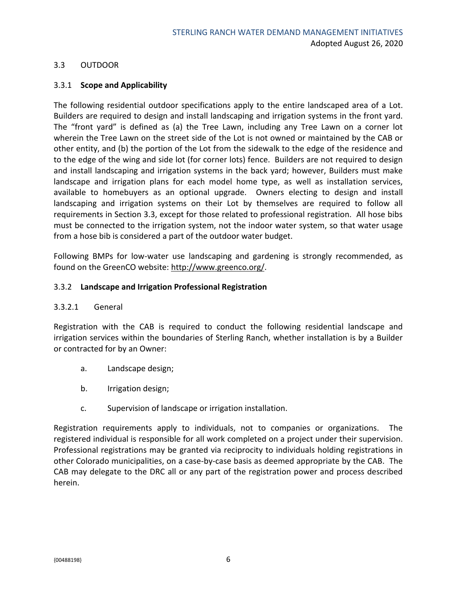#### <span id="page-7-0"></span>3.3 OUTDOOR

#### <span id="page-7-1"></span>3.3.1 **Scope and Applicability**

The following residential outdoor specifications apply to the entire landscaped area of a Lot. Builders are required to design and install landscaping and irrigation systems in the front yard. The "front yard" is defined as (a) the Tree Lawn, including any Tree Lawn on a corner lot wherein the Tree Lawn on the street side of the Lot is not owned or maintained by the CAB or other entity, and (b) the portion of the Lot from the sidewalk to the edge of the residence and to the edge of the wing and side lot (for corner lots) fence. Builders are not required to design and install landscaping and irrigation systems in the back yard; however, Builders must make landscape and irrigation plans for each model home type, as well as installation services, available to homebuyers as an optional upgrade. Owners electing to design and install landscaping and irrigation systems on their Lot by themselves are required to follow all requirements in Section 3.3, except for those related to professional registration. All hose bibs must be connected to the irrigation system, not the indoor water system, so that water usage from a hose bib is considered a part of the outdoor water budget.

Following BMPs for low-water use landscaping and gardening is strongly recommended, as found on the GreenCO website: http://www.greenco.org/.

#### <span id="page-7-2"></span>3.3.2 **Landscape and Irrigation Professional Registration**

#### 3.3.2.1 General

Registration with the CAB is required to conduct the following residential landscape and irrigation services within the boundaries of Sterling Ranch, whether installation is by a Builder or contracted for by an Owner:

- a. Landscape design;
- b. Irrigation design;
- c. Supervision of landscape or irrigation installation.

Registration requirements apply to individuals, not to companies or organizations. The registered individual is responsible for all work completed on a project under their supervision. Professional registrations may be granted via reciprocity to individuals holding registrations in other Colorado municipalities, on a case-by-case basis as deemed appropriate by the CAB. The CAB may delegate to the DRC all or any part of the registration power and process described herein.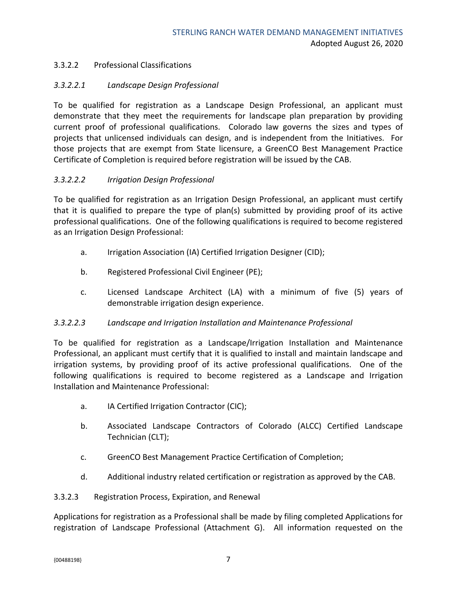#### 3.3.2.2 Professional Classifications

#### *3.3.2.2.1 Landscape Design Professional*

To be qualified for registration as a Landscape Design Professional, an applicant must demonstrate that they meet the requirements for landscape plan preparation by providing current proof of professional qualifications. Colorado law governs the sizes and types of projects that unlicensed individuals can design, and is independent from the Initiatives. For those projects that are exempt from State licensure, a GreenCO Best Management Practice Certificate of Completion is required before registration will be issued by the CAB.

#### *3.3.2.2.2 Irrigation Design Professional*

To be qualified for registration as an Irrigation Design Professional, an applicant must certify that it is qualified to prepare the type of plan(s) submitted by providing proof of its active professional qualifications. One of the following qualifications is required to become registered as an Irrigation Design Professional:

- a. Irrigation Association (IA) Certified Irrigation Designer (CID);
- b. Registered Professional Civil Engineer (PE);
- c. Licensed Landscape Architect (LA) with a minimum of five (5) years of demonstrable irrigation design experience.

#### *3.3.2.2.3 Landscape and Irrigation Installation and Maintenance Professional*

To be qualified for registration as a Landscape/Irrigation Installation and Maintenance Professional, an applicant must certify that it is qualified to install and maintain landscape and irrigation systems, by providing proof of its active professional qualifications. One of the following qualifications is required to become registered as a Landscape and Irrigation Installation and Maintenance Professional:

- a. IA Certified Irrigation Contractor (CIC);
- b. Associated Landscape Contractors of Colorado (ALCC) Certified Landscape Technician (CLT);
- c. GreenCO Best Management Practice Certification of Completion;
- d. Additional industry related certification or registration as approved by the CAB.

#### 3.3.2.3 Registration Process, Expiration, and Renewal

Applications for registration as a Professional shall be made by filing completed Applications for registration of Landscape Professional (Attachment G). All information requested on the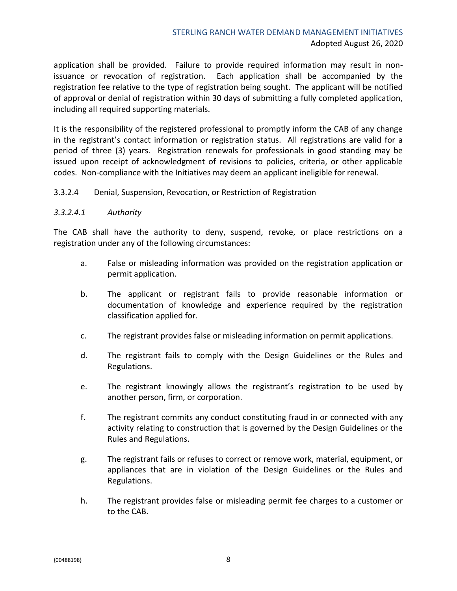#### STERLING RANCH WATER DEMAND MANAGEMENT INITIATIVES Adopted August 26, 2020

application shall be provided. Failure to provide required information may result in non‐ issuance or revocation of registration. Each application shall be accompanied by the registration fee relative to the type of registration being sought. The applicant will be notified of approval or denial of registration within 30 days of submitting a fully completed application, including all required supporting materials.

It is the responsibility of the registered professional to promptly inform the CAB of any change in the registrant's contact information or registration status. All registrations are valid for a period of three (3) years. Registration renewals for professionals in good standing may be issued upon receipt of acknowledgment of revisions to policies, criteria, or other applicable codes. Non‐compliance with the Initiatives may deem an applicant ineligible for renewal.

#### 3.3.2.4 Denial, Suspension, Revocation, or Restriction of Registration

#### *3.3.2.4.1 Authority*

The CAB shall have the authority to deny, suspend, revoke, or place restrictions on a registration under any of the following circumstances:

- a. False or misleading information was provided on the registration application or permit application.
- b. The applicant or registrant fails to provide reasonable information or documentation of knowledge and experience required by the registration classification applied for.
- c. The registrant provides false or misleading information on permit applications.
- d. The registrant fails to comply with the Design Guidelines or the Rules and Regulations.
- e. The registrant knowingly allows the registrant's registration to be used by another person, firm, or corporation.
- f. The registrant commits any conduct constituting fraud in or connected with any activity relating to construction that is governed by the Design Guidelines or the Rules and Regulations.
- g. The registrant fails or refuses to correct or remove work, material, equipment, or appliances that are in violation of the Design Guidelines or the Rules and Regulations.
- h. The registrant provides false or misleading permit fee charges to a customer or to the CAB.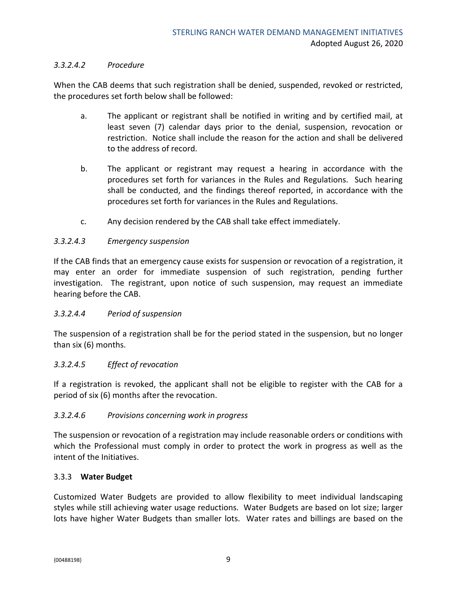#### *3.3.2.4.2 Procedure*

When the CAB deems that such registration shall be denied, suspended, revoked or restricted, the procedures set forth below shall be followed:

- a. The applicant or registrant shall be notified in writing and by certified mail, at least seven (7) calendar days prior to the denial, suspension, revocation or restriction. Notice shall include the reason for the action and shall be delivered to the address of record.
- b. The applicant or registrant may request a hearing in accordance with the procedures set forth for variances in the Rules and Regulations. Such hearing shall be conducted, and the findings thereof reported, in accordance with the procedures set forth for variances in the Rules and Regulations.
- c. Any decision rendered by the CAB shall take effect immediately.

#### *3.3.2.4.3 Emergency suspension*

If the CAB finds that an emergency cause exists for suspension or revocation of a registration, it may enter an order for immediate suspension of such registration, pending further investigation. The registrant, upon notice of such suspension, may request an immediate hearing before the CAB.

#### *3.3.2.4.4 Period of suspension*

The suspension of a registration shall be for the period stated in the suspension, but no longer than six (6) months.

#### *3.3.2.4.5 Effect of revocation*

If a registration is revoked, the applicant shall not be eligible to register with the CAB for a period of six (6) months after the revocation.

#### *3.3.2.4.6 Provisions concerning work in progress*

The suspension or revocation of a registration may include reasonable orders or conditions with which the Professional must comply in order to protect the work in progress as well as the intent of the Initiatives.

#### <span id="page-10-0"></span>3.3.3 **Water Budget**

Customized Water Budgets are provided to allow flexibility to meet individual landscaping styles while still achieving water usage reductions. Water Budgets are based on lot size; larger lots have higher Water Budgets than smaller lots. Water rates and billings are based on the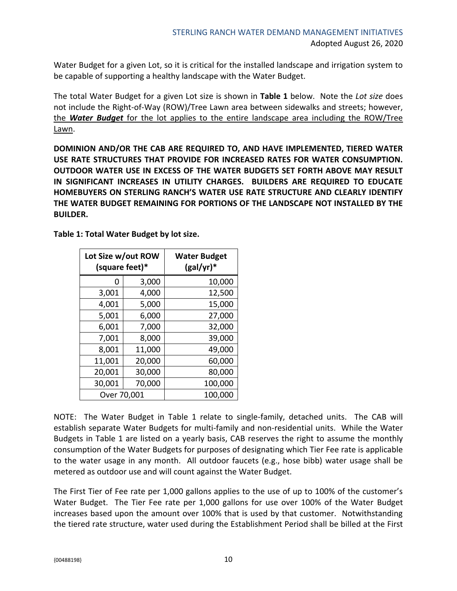Water Budget for a given Lot, so it is critical for the installed landscape and irrigation system to be capable of supporting a healthy landscape with the Water Budget.

The total Water Budget for a given Lot size is shown in **Table 1** below. Note the *Lot size* does not include the Right-of-Way (ROW)/Tree Lawn area between sidewalks and streets; however, the *Water Budget* for the lot applies to the entire landscape area including the ROW/Tree Lawn.

**DOMINION AND/OR THE CAB ARE REQUIRED TO, AND HAVE IMPLEMENTED, TIERED WATER USE RATE STRUCTURES THAT PROVIDE FOR INCREASED RATES FOR WATER CONSUMPTION. OUTDOOR WATER USE IN EXCESS OF THE WATER BUDGETS SET FORTH ABOVE MAY RESULT IN SIGNIFICANT INCREASES IN UTILITY CHARGES. BUILDERS ARE REQUIRED TO EDUCATE HOMEBUYERS ON STERLING RANCH'S WATER USE RATE STRUCTURE AND CLEARLY IDENTIFY THE WATER BUDGET REMAINING FOR PORTIONS OF THE LANDSCAPE NOT INSTALLED BY THE BUILDER.**

**Table 1: Total Water Budget by lot size.**

| Lot Size w/out ROW<br>(square feet)* |        | <b>Water Budget</b><br>$(gal/yr)^*$ |
|--------------------------------------|--------|-------------------------------------|
| 0                                    | 3,000  | 10,000                              |
| 3,001                                | 4,000  | 12,500                              |
| 4,001                                | 5,000  | 15,000                              |
| 5,001                                | 6,000  | 27,000                              |
| 6,001                                | 7,000  | 32,000                              |
| 7,001                                | 8,000  | 39,000                              |
| 8,001                                | 11,000 | 49,000                              |
| 11,001                               | 20,000 | 60,000                              |
| 20,001                               | 30,000 | 80,000                              |
| 30,001                               | 70,000 | 100,000                             |
| Over 70,001                          |        | 100,000                             |

NOTE: The Water Budget in Table 1 relate to single-family, detached units. The CAB will establish separate Water Budgets for multi-family and non-residential units. While the Water Budgets in Table 1 are listed on a yearly basis, CAB reserves the right to assume the monthly consumption of the Water Budgets for purposes of designating which Tier Fee rate is applicable to the water usage in any month. All outdoor faucets (e.g., hose bibb) water usage shall be metered as outdoor use and will count against the Water Budget.

The First Tier of Fee rate per 1,000 gallons applies to the use of up to 100% of the customer's Water Budget. The Tier Fee rate per 1,000 gallons for use over 100% of the Water Budget increases based upon the amount over 100% that is used by that customer. Notwithstanding the tiered rate structure, water used during the Establishment Period shall be billed at the First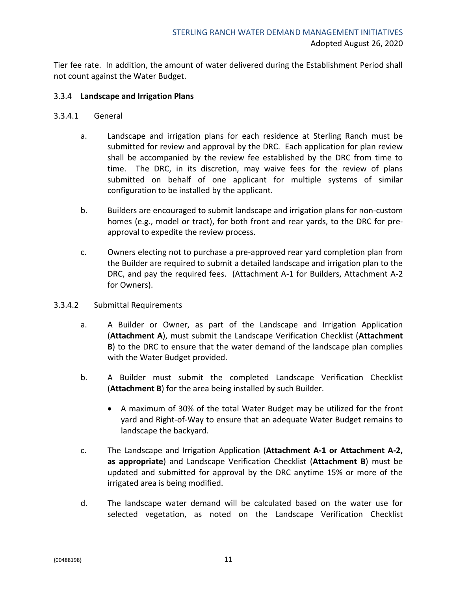Tier fee rate. In addition, the amount of water delivered during the Establishment Period shall not count against the Water Budget.

#### <span id="page-12-0"></span>3.3.4 **Landscape and Irrigation Plans**

- 3.3.4.1 General
	- a. Landscape and irrigation plans for each residence at Sterling Ranch must be submitted for review and approval by the DRC. Each application for plan review shall be accompanied by the review fee established by the DRC from time to time. The DRC, in its discretion, may waive fees for the review of plans submitted on behalf of one applicant for multiple systems of similar configuration to be installed by the applicant.
	- b. Builders are encouraged to submit landscape and irrigation plans for non-custom homes (e.g., model or tract), for both front and rear yards, to the DRC for preapproval to expedite the review process.
	- c. Owners electing not to purchase a pre-approved rear yard completion plan from the Builder are required to submit a detailed landscape and irrigation plan to the DRC, and pay the required fees. (Attachment A-1 for Builders, Attachment A-2 for Owners).
- 3.3.4.2 Submittal Requirements
	- a. A Builder or Owner, as part of the Landscape and Irrigation Application (**Attachment A**), must submit the Landscape Verification Checklist (**Attachment B**) to the DRC to ensure that the water demand of the landscape plan complies with the Water Budget provided.
	- b. A Builder must submit the completed Landscape Verification Checklist (**Attachment B**) for the area being installed by such Builder.
		- A maximum of 30% of the total Water Budget may be utilized for the front yard and Right-of-Way to ensure that an adequate Water Budget remains to landscape the backyard.
	- c. The Landscape and Irrigation Application (**Attachment A-1 or Attachment A-2, as appropriate**) and Landscape Verification Checklist (**Attachment B**) must be updated and submitted for approval by the DRC anytime 15% or more of the irrigated area is being modified.
	- d. The landscape water demand will be calculated based on the water use for selected vegetation, as noted on the Landscape Verification Checklist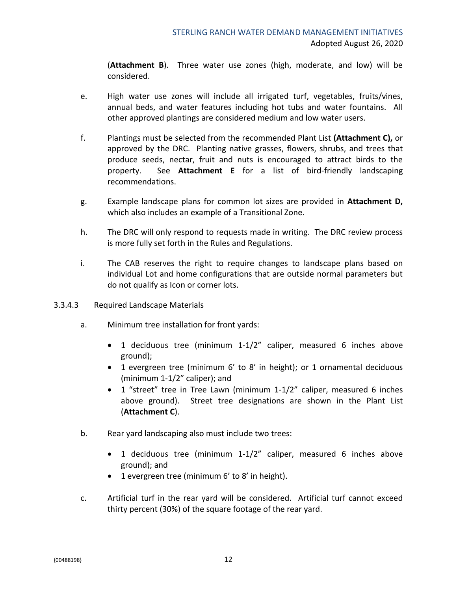(**Attachment B**). Three water use zones (high, moderate, and low) will be considered.

- e. High water use zones will include all irrigated turf, vegetables, fruits/vines, annual beds, and water features including hot tubs and water fountains. All other approved plantings are considered medium and low water users.
- f. Plantings must be selected from the recommended Plant List **(Attachment C),** or approved by the DRC. Planting native grasses, flowers, shrubs, and trees that produce seeds, nectar, fruit and nuts is encouraged to attract birds to the property. See **Attachment E** for a list of bird-friendly landscaping recommendations.
- g. Example landscape plans for common lot sizes are provided in **Attachment D,**  which also includes an example of a Transitional Zone.
- h. The DRC will only respond to requests made in writing. The DRC review process is more fully set forth in the Rules and Regulations.
- i. The CAB reserves the right to require changes to landscape plans based on individual Lot and home configurations that are outside normal parameters but do not qualify as Icon or corner lots.
- 3.3.4.3 Required Landscape Materials
	- a. Minimum tree installation for front yards:
		- 1 deciduous tree (minimum 1-1/2" caliper, measured 6 inches above ground);
		- 1 evergreen tree (minimum 6' to 8' in height); or 1 ornamental deciduous (minimum 1-1/2" caliper); and
		- 1 "street" tree in Tree Lawn (minimum 1-1/2" caliper, measured 6 inches above ground). Street tree designations are shown in the Plant List (**Attachment C**).
	- b. Rear yard landscaping also must include two trees:
		- 1 deciduous tree (minimum 1-1/2" caliper, measured 6 inches above ground); and
		- 1 evergreen tree (minimum 6' to 8' in height).
	- c. Artificial turf in the rear yard will be considered. Artificial turf cannot exceed thirty percent (30%) of the square footage of the rear yard.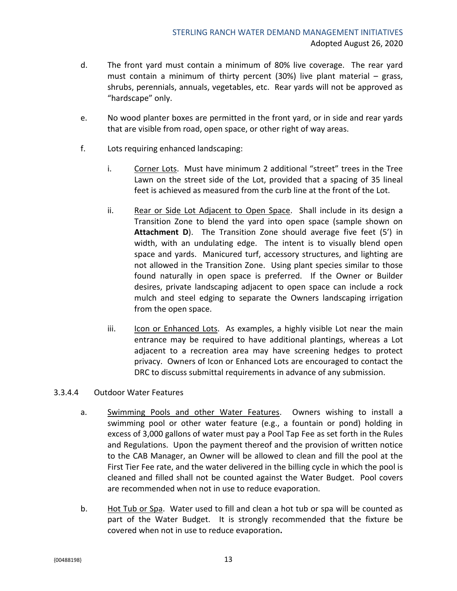- d. The front yard must contain a minimum of 80% live coverage. The rear yard must contain a minimum of thirty percent (30%) live plant material – grass, shrubs, perennials, annuals, vegetables, etc. Rear yards will not be approved as "hardscape" only.
- e. No wood planter boxes are permitted in the front yard, or in side and rear yards that are visible from road, open space, or other right of way areas.
- f. Lots requiring enhanced landscaping:
	- i. Corner Lots. Must have minimum 2 additional "street" trees in the Tree Lawn on the street side of the Lot, provided that a spacing of 35 lineal feet is achieved as measured from the curb line at the front of the Lot.
	- ii. Rear or Side Lot Adjacent to Open Space. Shall include in its design a Transition Zone to blend the yard into open space (sample shown on **Attachment D**). The Transition Zone should average five feet (5') in width, with an undulating edge. The intent is to visually blend open space and yards. Manicured turf, accessory structures, and lighting are not allowed in the Transition Zone. Using plant species similar to those found naturally in open space is preferred. If the Owner or Builder desires, private landscaping adjacent to open space can include a rock mulch and steel edging to separate the Owners landscaping irrigation from the open space.
	- iii. Icon or Enhanced Lots. As examples, a highly visible Lot near the main entrance may be required to have additional plantings, whereas a Lot adjacent to a recreation area may have screening hedges to protect privacy. Owners of Icon or Enhanced Lots are encouraged to contact the DRC to discuss submittal requirements in advance of any submission.

#### 3.3.4.4 Outdoor Water Features

- a. Swimming Pools and other Water Features. Owners wishing to install a swimming pool or other water feature (e.g., a fountain or pond) holding in excess of 3,000 gallons of water must pay a Pool Tap Fee as set forth in the Rules and Regulations. Upon the payment thereof and the provision of written notice to the CAB Manager, an Owner will be allowed to clean and fill the pool at the First Tier Fee rate, and the water delivered in the billing cycle in which the pool is cleaned and filled shall not be counted against the Water Budget. Pool covers are recommended when not in use to reduce evaporation.
- b. Hot Tub or Spa. Water used to fill and clean a hot tub or spa will be counted as part of the Water Budget.It is strongly recommended that the fixture be covered when not in use to reduce evaporation**.**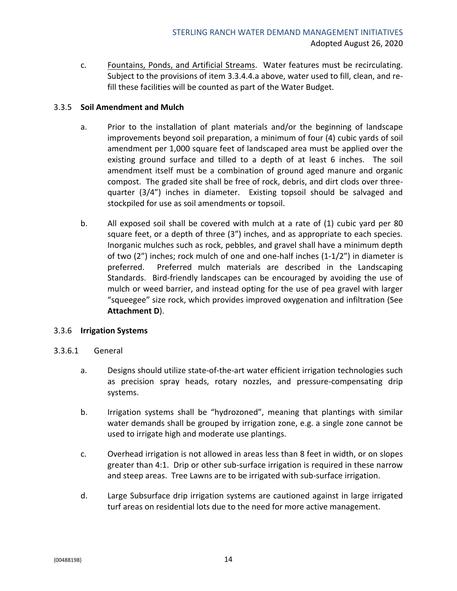c. Fountains, Ponds, and Artificial Streams. Water features must be recirculating. Subject to the provisions of item 3.3.4.4.a above, water used to fill, clean, and refill these facilities will be counted as part of the Water Budget.

#### <span id="page-15-0"></span>3.3.5 **Soil Amendment and Mulch**

- a. Prior to the installation of plant materials and/or the beginning of landscape improvements beyond soil preparation, a minimum of four (4) cubic yards of soil amendment per 1,000 square feet of landscaped area must be applied over the existing ground surface and tilled to a depth of at least 6 inches. The soil amendment itself must be a combination of ground aged manure and organic compost. The graded site shall be free of rock, debris, and dirt clods over threequarter (3/4") inches in diameter. Existing topsoil should be salvaged and stockpiled for use as soil amendments or topsoil.
- b. All exposed soil shall be covered with mulch at a rate of (1) cubic yard per 80 square feet, or a depth of three (3") inches, and as appropriate to each species. Inorganic mulches such as rock, pebbles, and gravel shall have a minimum depth of two (2") inches; rock mulch of one and one-half inches (1-1/2") in diameter is preferred. Preferred mulch materials are described in the Landscaping Standards. Bird-friendly landscapes can be encouraged by avoiding the use of mulch or weed barrier, and instead opting for the use of pea gravel with larger "squeegee" size rock, which provides improved oxygenation and infiltration (See **Attachment D**).

#### <span id="page-15-1"></span>3.3.6 **Irrigation Systems**

- 3.3.6.1 General
	- a. Designs should utilize state-of-the-art water efficient irrigation technologies such as precision spray heads, rotary nozzles, and pressure-compensating drip systems.
	- b. Irrigation systems shall be "hydrozoned", meaning that plantings with similar water demands shall be grouped by irrigation zone, e.g. a single zone cannot be used to irrigate high and moderate use plantings.
	- c. Overhead irrigation is not allowed in areas less than 8 feet in width, or on slopes greater than 4:1. Drip or other sub-surface irrigation is required in these narrow and steep areas. Tree Lawns are to be irrigated with sub-surface irrigation.
	- d. Large Subsurface drip irrigation systems are cautioned against in large irrigated turf areas on residential lots due to the need for more active management.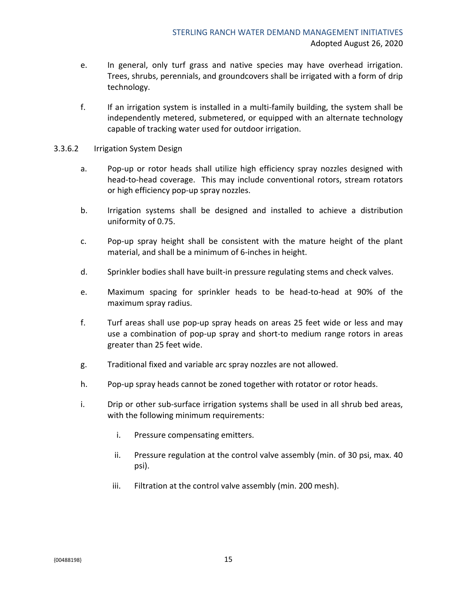- e. In general, only turf grass and native species may have overhead irrigation. Trees, shrubs, perennials, and groundcovers shall be irrigated with a form of drip technology.
- f. If an irrigation system is installed in a multi-family building, the system shall be independently metered, submetered, or equipped with an alternate technology capable of tracking water used for outdoor irrigation.
- 3.3.6.2 Irrigation System Design
	- a. Pop-up or rotor heads shall utilize high efficiency spray nozzles designed with head-to-head coverage. This may include conventional rotors, stream rotators or high efficiency pop-up spray nozzles.
	- b. Irrigation systems shall be designed and installed to achieve a distribution uniformity of 0.75.
	- c. Pop-up spray height shall be consistent with the mature height of the plant material, and shall be a minimum of 6-inches in height.
	- d. Sprinkler bodies shall have built-in pressure regulating stems and check valves.
	- e. Maximum spacing for sprinkler heads to be head-to-head at 90% of the maximum spray radius.
	- f. Turf areas shall use pop-up spray heads on areas 25 feet wide or less and may use a combination of pop-up spray and short-to medium range rotors in areas greater than 25 feet wide.
	- g. Traditional fixed and variable arc spray nozzles are not allowed.
	- h. Pop-up spray heads cannot be zoned together with rotator or rotor heads.
	- i. Drip or other sub-surface irrigation systems shall be used in all shrub bed areas, with the following minimum requirements:
		- i. Pressure compensating emitters.
		- ii. Pressure regulation at the control valve assembly (min. of 30 psi, max. 40 psi).
		- iii. Filtration at the control valve assembly (min. 200 mesh).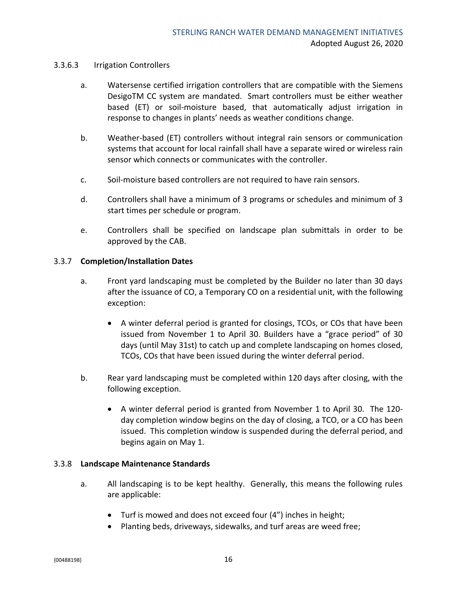#### 3.3.6.3 Irrigation Controllers

- a. Watersense certified irrigation controllers that are compatible with the Siemens DesigoTM CC system are mandated. Smart controllers must be either weather based (ET) or soil-moisture based, that automatically adjust irrigation in response to changes in plants' needs as weather conditions change.
- b. Weather-based (ET) controllers without integral rain sensors or communication systems that account for local rainfall shall have a separate wired or wireless rain sensor which connects or communicates with the controller.
- c. Soil-moisture based controllers are not required to have rain sensors.
- d. Controllers shall have a minimum of 3 programs or schedules and minimum of 3 start times per schedule or program.
- e. Controllers shall be specified on landscape plan submittals in order to be approved by the CAB.

#### <span id="page-17-0"></span>3.3.7 **Completion/Installation Dates**

- a. Front yard landscaping must be completed by the Builder no later than 30 days after the issuance of CO, a Temporary CO on a residential unit, with the following exception:
	- A winter deferral period is granted for closings, TCOs, or COs that have been issued from November 1 to April 30. Builders have a "grace period" of 30 days (until May 31st) to catch up and complete landscaping on homes closed, TCOs, COs that have been issued during the winter deferral period.
- b. Rear yard landscaping must be completed within 120 days after closing, with the following exception.
	- A winter deferral period is granted from November 1 to April 30. The 120 day completion window begins on the day of closing, a TCO, or a CO has been issued. This completion window is suspended during the deferral period, and begins again on May 1.

#### <span id="page-17-1"></span>3.3.8 **Landscape Maintenance Standards**

- a. All landscaping is to be kept healthy. Generally, this means the following rules are applicable:
	- Turf is mowed and does not exceed four (4") inches in height;
	- Planting beds, driveways, sidewalks, and turf areas are weed free;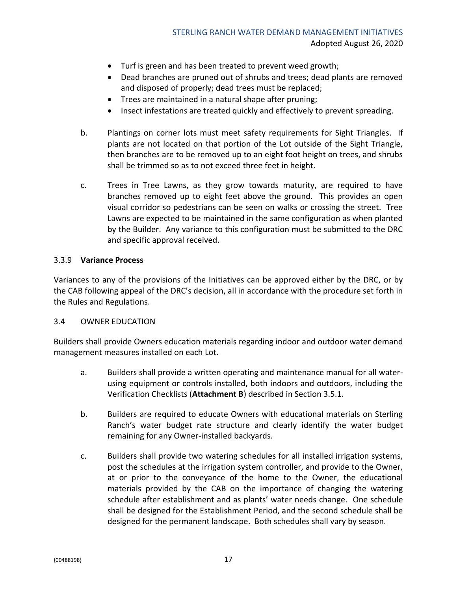- Turf is green and has been treated to prevent weed growth;
- Dead branches are pruned out of shrubs and trees; dead plants are removed and disposed of properly; dead trees must be replaced;
- Trees are maintained in a natural shape after pruning;
- Insect infestations are treated quickly and effectively to prevent spreading.
- b. Plantings on corner lots must meet safety requirements for Sight Triangles. If plants are not located on that portion of the Lot outside of the Sight Triangle, then branches are to be removed up to an eight foot height on trees, and shrubs shall be trimmed so as to not exceed three feet in height.
- c. Trees in Tree Lawns, as they grow towards maturity, are required to have branches removed up to eight feet above the ground. This provides an open visual corridor so pedestrians can be seen on walks or crossing the street. Tree Lawns are expected to be maintained in the same configuration as when planted by the Builder. Any variance to this configuration must be submitted to the DRC and specific approval received.

#### <span id="page-18-0"></span>3.3.9 **Variance Process**

Variances to any of the provisions of the Initiatives can be approved either by the DRC, or by the CAB following appeal of the DRC's decision, all in accordance with the procedure set forth in the Rules and Regulations.

#### <span id="page-18-1"></span>3.4 OWNER EDUCATION

Builders shall provide Owners education materials regarding indoor and outdoor water demand management measures installed on each Lot.

- a. Builders shall provide a written operating and maintenance manual for all waterusing equipment or controls installed, both indoors and outdoors, including the Verification Checklists (**Attachment B**) described in Section 3.5.1.
- b. Builders are required to educate Owners with educational materials on Sterling Ranch's water budget rate structure and clearly identify the water budget remaining for any Owner-installed backyards.
- c. Builders shall provide two watering schedules for all installed irrigation systems, post the schedules at the irrigation system controller, and provide to the Owner, at or prior to the conveyance of the home to the Owner, the educational materials provided by the CAB on the importance of changing the watering schedule after establishment and as plants' water needs change. One schedule shall be designed for the Establishment Period, and the second schedule shall be designed for the permanent landscape. Both schedules shall vary by season.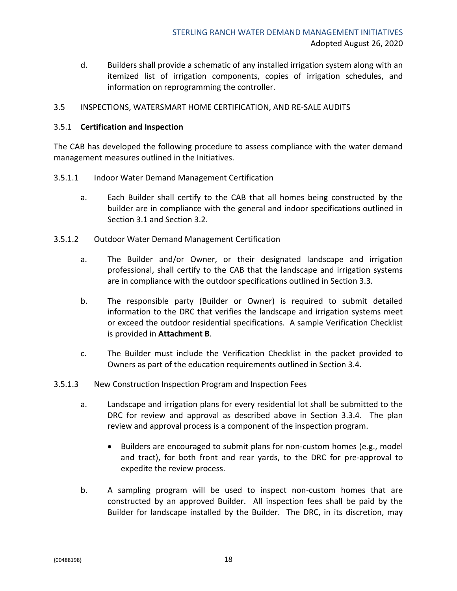d. Builders shall provide a schematic of any installed irrigation system along with an itemized list of irrigation components, copies of irrigation schedules, and information on reprogramming the controller.

#### <span id="page-19-0"></span>3.5 INSPECTIONS, WATERSMART HOME CERTIFICATION, AND RE-SALE AUDITS

#### <span id="page-19-1"></span>3.5.1 **Certification and Inspection**

The CAB has developed the following procedure to assess compliance with the water demand management measures outlined in the Initiatives.

- 3.5.1.1 Indoor Water Demand Management Certification
	- a. Each Builder shall certify to the CAB that all homes being constructed by the builder are in compliance with the general and indoor specifications outlined in Section 3.1 and Section 3.2.
- 3.5.1.2 Outdoor Water Demand Management Certification
	- a. The Builder and/or Owner, or their designated landscape and irrigation professional, shall certify to the CAB that the landscape and irrigation systems are in compliance with the outdoor specifications outlined in Section 3.3.
	- b. The responsible party (Builder or Owner) is required to submit detailed information to the DRC that verifies the landscape and irrigation systems meet or exceed the outdoor residential specifications. A sample Verification Checklist is provided in **Attachment B**.
	- c. The Builder must include the Verification Checklist in the packet provided to Owners as part of the education requirements outlined in Section 3.4.
- 3.5.1.3 New Construction Inspection Program and Inspection Fees
	- a. Landscape and irrigation plans for every residential lot shall be submitted to the DRC for review and approval as described above in Section 3.3.4. The plan review and approval process is a component of the inspection program.
		- Builders are encouraged to submit plans for non-custom homes (e.g., model and tract), for both front and rear yards, to the DRC for pre-approval to expedite the review process.
	- b. A sampling program will be used to inspect non-custom homes that are constructed by an approved Builder. All inspection fees shall be paid by the Builder for landscape installed by the Builder. The DRC, in its discretion, may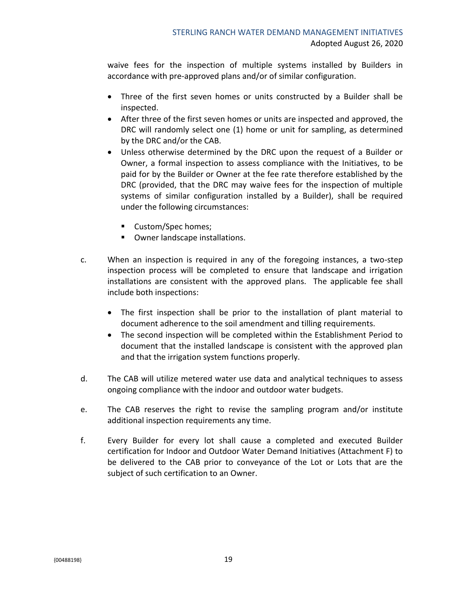waive fees for the inspection of multiple systems installed by Builders in accordance with pre-approved plans and/or of similar configuration.

- Three of the first seven homes or units constructed by a Builder shall be inspected.
- After three of the first seven homes or units are inspected and approved, the DRC will randomly select one (1) home or unit for sampling, as determined by the DRC and/or the CAB.
- Unless otherwise determined by the DRC upon the request of a Builder or Owner, a formal inspection to assess compliance with the Initiatives, to be paid for by the Builder or Owner at the fee rate therefore established by the DRC (provided, that the DRC may waive fees for the inspection of multiple systems of similar configuration installed by a Builder), shall be required under the following circumstances:
	- Custom/Spec homes;
	- Owner landscape installations.
- c. When an inspection is required in any of the foregoing instances, a two-step inspection process will be completed to ensure that landscape and irrigation installations are consistent with the approved plans. The applicable fee shall include both inspections:
	- The first inspection shall be prior to the installation of plant material to document adherence to the soil amendment and tilling requirements.
	- The second inspection will be completed within the Establishment Period to document that the installed landscape is consistent with the approved plan and that the irrigation system functions properly.
- d. The CAB will utilize metered water use data and analytical techniques to assess ongoing compliance with the indoor and outdoor water budgets.
- e. The CAB reserves the right to revise the sampling program and/or institute additional inspection requirements any time.
- f. Every Builder for every lot shall cause a completed and executed Builder certification for Indoor and Outdoor Water Demand Initiatives (Attachment F) to be delivered to the CAB prior to conveyance of the Lot or Lots that are the subject of such certification to an Owner.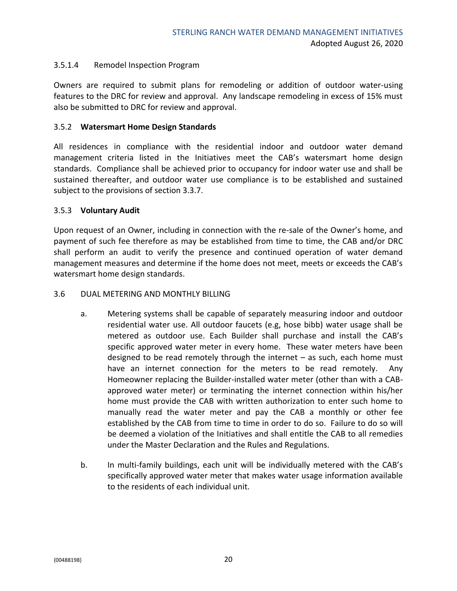#### 3.5.1.4 Remodel Inspection Program

Owners are required to submit plans for remodeling or addition of outdoor water-using features to the DRC for review and approval. Any landscape remodeling in excess of 15% must also be submitted to DRC for review and approval.

#### <span id="page-21-0"></span>3.5.2 **Watersmart Home Design Standards**

All residences in compliance with the residential indoor and outdoor water demand management criteria listed in the Initiatives meet the CAB's watersmart home design standards. Compliance shall be achieved prior to occupancy for indoor water use and shall be sustained thereafter, and outdoor water use compliance is to be established and sustained subject to the provisions of section 3.3.7.

#### <span id="page-21-1"></span>3.5.3 **Voluntary Audit**

Upon request of an Owner, including in connection with the re-sale of the Owner's home, and payment of such fee therefore as may be established from time to time, the CAB and/or DRC shall perform an audit to verify the presence and continued operation of water demand management measures and determine if the home does not meet, meets or exceeds the CAB's watersmart home design standards.

#### <span id="page-21-2"></span>3.6 DUAL METERING AND MONTHLY BILLING

- a. Metering systems shall be capable of separately measuring indoor and outdoor residential water use. All outdoor faucets (e.g, hose bibb) water usage shall be metered as outdoor use. Each Builder shall purchase and install the CAB's specific approved water meter in every home. These water meters have been designed to be read remotely through the internet – as such, each home must have an internet connection for the meters to be read remotely. Any Homeowner replacing the Builder-installed water meter (other than with a CABapproved water meter) or terminating the internet connection within his/her home must provide the CAB with written authorization to enter such home to manually read the water meter and pay the CAB a monthly or other fee established by the CAB from time to time in order to do so. Failure to do so will be deemed a violation of the Initiatives and shall entitle the CAB to all remedies under the Master Declaration and the Rules and Regulations.
- b. In multi-family buildings, each unit will be individually metered with the CAB's specifically approved water meter that makes water usage information available to the residents of each individual unit.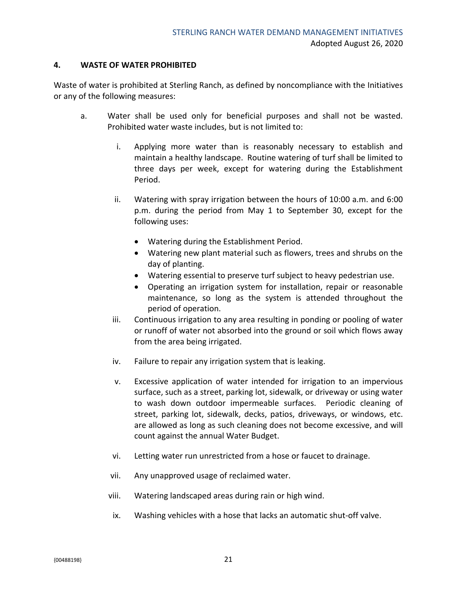#### <span id="page-22-0"></span>**4. WASTE OF WATER PROHIBITED**

Waste of water is prohibited at Sterling Ranch, as defined by noncompliance with the Initiatives or any of the following measures:

- a. Water shall be used only for beneficial purposes and shall not be wasted. Prohibited water waste includes, but is not limited to:
	- i. Applying more water than is reasonably necessary to establish and maintain a healthy landscape. Routine watering of turf shall be limited to three days per week, except for watering during the Establishment Period.
	- ii. Watering with spray irrigation between the hours of 10:00 a.m. and 6:00 p.m. during the period from May 1 to September 30, except for the following uses:
		- Watering during the Establishment Period.
		- Watering new plant material such as flowers, trees and shrubs on the day of planting.
		- Watering essential to preserve turf subject to heavy pedestrian use.
		- Operating an irrigation system for installation, repair or reasonable maintenance, so long as the system is attended throughout the period of operation.
	- iii. Continuous irrigation to any area resulting in ponding or pooling of water or runoff of water not absorbed into the ground or soil which flows away from the area being irrigated.
	- iv. Failure to repair any irrigation system that is leaking.
	- v. Excessive application of water intended for irrigation to an impervious surface, such as a street, parking lot, sidewalk, or driveway or using water to wash down outdoor impermeable surfaces. Periodic cleaning of street, parking lot, sidewalk, decks, patios, driveways, or windows, etc. are allowed as long as such cleaning does not become excessive, and will count against the annual Water Budget.
	- vi. Letting water run unrestricted from a hose or faucet to drainage.
	- vii. Any unapproved usage of reclaimed water.
	- viii. Watering landscaped areas during rain or high wind.
	- ix. Washing vehicles with a hose that lacks an automatic shut-off valve.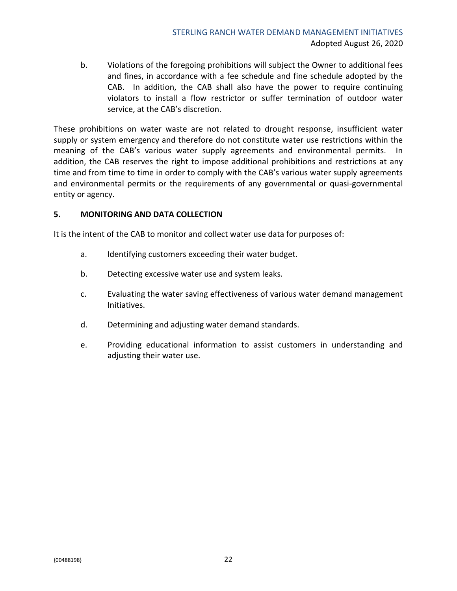b. Violations of the foregoing prohibitions will subject the Owner to additional fees and fines, in accordance with a fee schedule and fine schedule adopted by the CAB. In addition, the CAB shall also have the power to require continuing violators to install a flow restrictor or suffer termination of outdoor water service, at the CAB's discretion.

These prohibitions on water waste are not related to drought response, insufficient water supply or system emergency and therefore do not constitute water use restrictions within the meaning of the CAB's various water supply agreements and environmental permits. In addition, the CAB reserves the right to impose additional prohibitions and restrictions at any time and from time to time in order to comply with the CAB's various water supply agreements and environmental permits or the requirements of any governmental or quasi-governmental entity or agency.

#### <span id="page-23-0"></span>**5. MONITORING AND DATA COLLECTION**

It is the intent of the CAB to monitor and collect water use data for purposes of:

- a. Identifying customers exceeding their water budget.
- b. Detecting excessive water use and system leaks.
- c. Evaluating the water saving effectiveness of various water demand management Initiatives.
- d. Determining and adjusting water demand standards.
- e. Providing educational information to assist customers in understanding and adjusting their water use.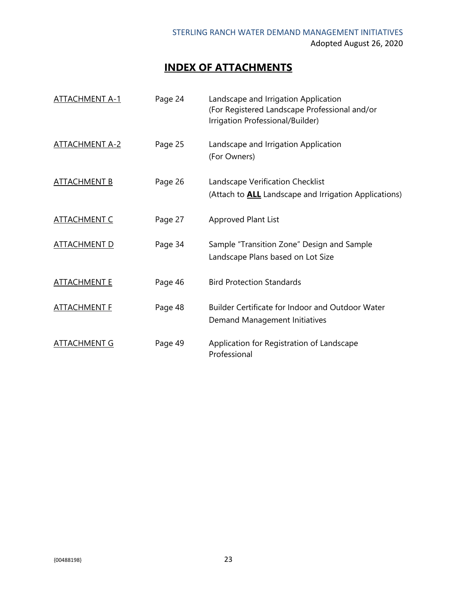## **INDEX OF ATTACHMENTS**

| <u>ATTACHMENT A-1</u> | Page 24 | Landscape and Irrigation Application<br>(For Registered Landscape Professional and/or<br>Irrigation Professional/Builder) |
|-----------------------|---------|---------------------------------------------------------------------------------------------------------------------------|
| <u>ATTACHMENT A-2</u> | Page 25 | Landscape and Irrigation Application<br>(For Owners)                                                                      |
| <b>ATTACHMENT B</b>   | Page 26 | Landscape Verification Checklist<br>(Attach to <b>ALL</b> Landscape and Irrigation Applications)                          |
| <b>ATTACHMENT C</b>   | Page 27 | Approved Plant List                                                                                                       |
| <u>ATTACHMENT D</u>   | Page 34 | Sample "Transition Zone" Design and Sample<br>Landscape Plans based on Lot Size                                           |
| <u>ATTACHMENT E</u>   | Page 46 | <b>Bird Protection Standards</b>                                                                                          |
| <b>ATTACHMENT F</b>   | Page 48 | <b>Builder Certificate for Indoor and Outdoor Water</b><br>Demand Management Initiatives                                  |
| ATTACHMENT G          | Page 49 | Application for Registration of Landscape<br>Professional                                                                 |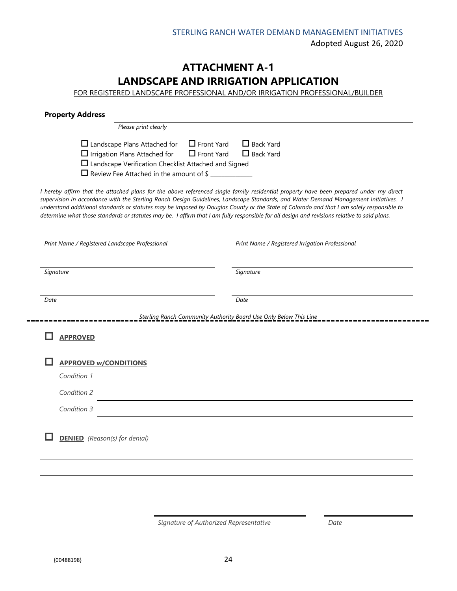## **ATTACHMENT A-1 LANDSCAPE AND IRRIGATION APPLICATION**

FOR REGISTERED LANDSCAPE PROFESSIONAL AND/OR IRRIGATION PROFESSIONAL/BUILDER

| <b>Property Address</b>                                                                                                                                                                                                                                                                                                                                                                                                           |                                                                   |
|-----------------------------------------------------------------------------------------------------------------------------------------------------------------------------------------------------------------------------------------------------------------------------------------------------------------------------------------------------------------------------------------------------------------------------------|-------------------------------------------------------------------|
| Please print clearly                                                                                                                                                                                                                                                                                                                                                                                                              |                                                                   |
| $\Box$ Front Yard<br>$\Box$ Landscape Plans Attached for<br>$\Box$ Irrigation Plans Attached for<br>$\Box$ Front Yard<br>$\Box$ Landscape Verification Checklist Attached and Signed<br>□ Review Fee Attached in the amount of \$<br>I hereby affirm that the attached plans for the above referenced single family residential property have been prepared under my direct                                                       | $\Box$ Back Yard<br>$\Box$ Back Yard                              |
| supervision in accordance with the Sterling Ranch Design Guidelines, Landscape Standards, and Water Demand Management Initiatives. I<br>understand additional standards or statutes may be imposed by Douglas County or the State of Colorado and that I am solely responsible to<br>determine what those standards or statutes may be. I affirm that I am fully responsible for all design and revisions relative to said plans. |                                                                   |
| Print Name / Registered Landscape Professional                                                                                                                                                                                                                                                                                                                                                                                    | Print Name / Registered Irrigation Professional                   |
| Signature                                                                                                                                                                                                                                                                                                                                                                                                                         | Signature                                                         |
| Date                                                                                                                                                                                                                                                                                                                                                                                                                              | Date                                                              |
|                                                                                                                                                                                                                                                                                                                                                                                                                                   | Sterling Ranch Community Authority Board Use Only Below This Line |
| <b>APPROVED</b>                                                                                                                                                                                                                                                                                                                                                                                                                   |                                                                   |
| <b>APPROVED w/CONDITIONS</b>                                                                                                                                                                                                                                                                                                                                                                                                      |                                                                   |
| Condition 1                                                                                                                                                                                                                                                                                                                                                                                                                       |                                                                   |
| Condition 2                                                                                                                                                                                                                                                                                                                                                                                                                       |                                                                   |
| Condition 3                                                                                                                                                                                                                                                                                                                                                                                                                       |                                                                   |
| <b>DENIED</b> (Reason(s) for denial)                                                                                                                                                                                                                                                                                                                                                                                              |                                                                   |
|                                                                                                                                                                                                                                                                                                                                                                                                                                   |                                                                   |
|                                                                                                                                                                                                                                                                                                                                                                                                                                   |                                                                   |

*Signature of Authorized Representative Date*

 $-$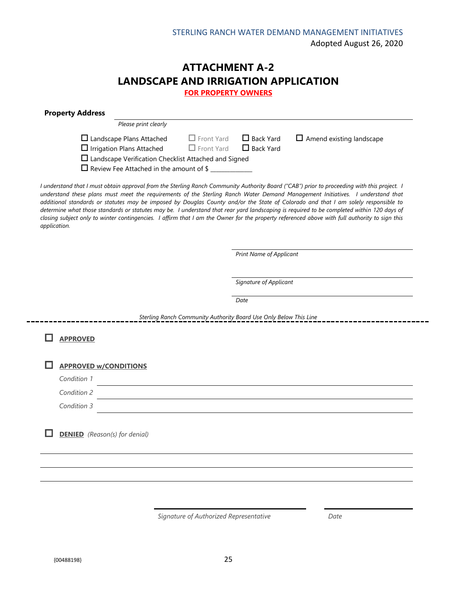## **ATTACHMENT A-2 LANDSCAPE AND IRRIGATION APPLICATION**

**FOR PROPERTY OWNERS**

| $\Box$ Front Yard<br>$\Box$ Back Yard<br>$\Box$ Amend existing landscape<br>$\Box$ Front Yard<br>$\Box$ Back Yard<br>$\Box$ Landscape Verification Checklist Attached and Signed<br>□ Review Fee Attached in the amount of \$<br>I understand that I must obtain approval from the Sterling Ranch Community Authority Board ("CAB") prior to proceeding with this project. I<br>additional standards or statutes may be imposed by Douglas County and/or the State of Colorado and that I am solely responsible to<br>closing subject only to winter contingencies. I affirm that I am the Owner for the property referenced above with full authority to sign this<br>Print Name of Applicant<br>Signature of Applicant<br>Date |
|----------------------------------------------------------------------------------------------------------------------------------------------------------------------------------------------------------------------------------------------------------------------------------------------------------------------------------------------------------------------------------------------------------------------------------------------------------------------------------------------------------------------------------------------------------------------------------------------------------------------------------------------------------------------------------------------------------------------------------|
| understand these plans must meet the requirements of the Sterling Ranch Water Demand Management Initiatives. I understand that<br>determine what those standards or statutes may be. I understand that rear yard landscaping is required to be completed within 120 days of                                                                                                                                                                                                                                                                                                                                                                                                                                                      |
|                                                                                                                                                                                                                                                                                                                                                                                                                                                                                                                                                                                                                                                                                                                                  |
|                                                                                                                                                                                                                                                                                                                                                                                                                                                                                                                                                                                                                                                                                                                                  |
|                                                                                                                                                                                                                                                                                                                                                                                                                                                                                                                                                                                                                                                                                                                                  |
|                                                                                                                                                                                                                                                                                                                                                                                                                                                                                                                                                                                                                                                                                                                                  |
|                                                                                                                                                                                                                                                                                                                                                                                                                                                                                                                                                                                                                                                                                                                                  |
| Sterling Ranch Community Authority Board Use Only Below This Line                                                                                                                                                                                                                                                                                                                                                                                                                                                                                                                                                                                                                                                                |
|                                                                                                                                                                                                                                                                                                                                                                                                                                                                                                                                                                                                                                                                                                                                  |
|                                                                                                                                                                                                                                                                                                                                                                                                                                                                                                                                                                                                                                                                                                                                  |
|                                                                                                                                                                                                                                                                                                                                                                                                                                                                                                                                                                                                                                                                                                                                  |
|                                                                                                                                                                                                                                                                                                                                                                                                                                                                                                                                                                                                                                                                                                                                  |
|                                                                                                                                                                                                                                                                                                                                                                                                                                                                                                                                                                                                                                                                                                                                  |
|                                                                                                                                                                                                                                                                                                                                                                                                                                                                                                                                                                                                                                                                                                                                  |

*Signature of Authorized Representative Date*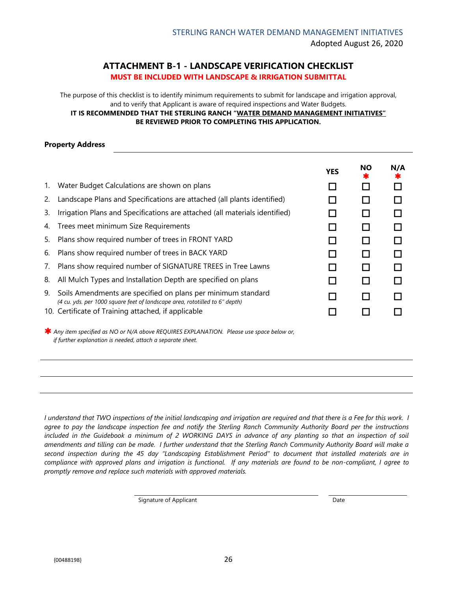#### **ATTACHMENT B-1 - LANDSCAPE VERIFICATION CHECKLIST MUST BE INCLUDED WITH LANDSCAPE & IRRIGATION SUBMITTAL**

The purpose of this checklist is to identify minimum requirements to submit for landscape and irrigation approval, and to verify that Applicant is aware of required inspections and Water Budgets.

**IT IS RECOMMENDED THAT THE STERLING RANCH "WATER DEMAND MANAGEMENT INITIATIVES" BE REVIEWED PRIOR TO COMPLETING THIS APPLICATION.**

#### **Property Address**

|    |                                                                                                                                             | <b>YES</b> | <b>NO</b> | N/A |
|----|---------------------------------------------------------------------------------------------------------------------------------------------|------------|-----------|-----|
| 1. | Water Budget Calculations are shown on plans                                                                                                |            |           |     |
| 2. | Landscape Plans and Specifications are attached (all plants identified)                                                                     |            |           |     |
| 3. | Irrigation Plans and Specifications are attached (all materials identified)                                                                 |            |           |     |
|    | 4. Trees meet minimum Size Requirements                                                                                                     |            |           |     |
| 5. | Plans show required number of trees in FRONT YARD                                                                                           |            |           |     |
| 6. | Plans show required number of trees in BACK YARD                                                                                            |            |           |     |
| 7. | Plans show required number of SIGNATURE TREES in Tree Lawns                                                                                 |            |           |     |
| 8. | All Mulch Types and Installation Depth are specified on plans                                                                               |            |           |     |
| 9. | Soils Amendments are specified on plans per minimum standard<br>(4 cu. yds. per 1000 square feet of landscape area, rototilled to 6" depth) |            |           |     |
|    | 10. Certificate of Training attached, if applicable                                                                                         |            |           |     |

 *Any item specified as NO or N/A above REQUIRES EXPLANATION. Please use space below or,*  *if further explanation is needed, attach a separate sheet.*

*I understand that TWO inspections of the initial landscaping and irrigation are required and that there is a Fee for this work. I agree to pay the landscape inspection fee and notify the Sterling Ranch Community Authority Board per the instructions*  included in the Guidebook a minimum of 2 WORKING DAYS in advance of any planting so that an inspection of soil *amendments and tilling can be made. I further understand that the Sterling Ranch Community Authority Board will make a second inspection during the 45 day "Landscaping Establishment Period" to document that installed materials are in compliance with approved plans and irrigation is functional. If any materials are found to be non-compliant, I agree to promptly remove and replace such materials with approved materials.* 

Signature of Applicant **Date**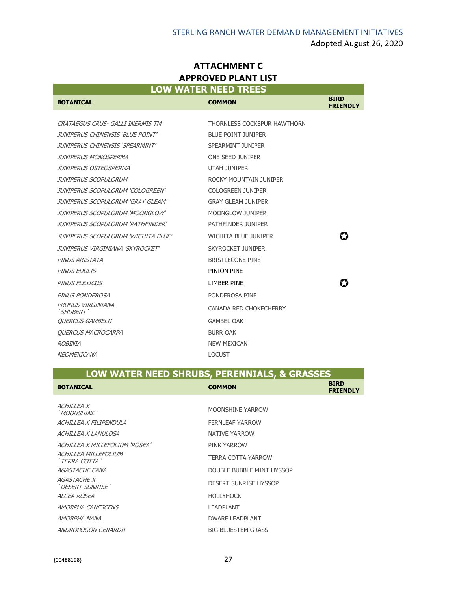| <b>ATTACHMENT C</b>                |  |  |
|------------------------------------|--|--|
| <b>APPROVED PLANT LIST</b>         |  |  |
| <b>LOW WATER NEED <u>TREES</u></b> |  |  |

and the state of the state of the state of

|                                     | <b>LOW WATER NEED TREES</b> |                                |
|-------------------------------------|-----------------------------|--------------------------------|
| <b>BOTANICAL</b>                    | <b>COMMON</b>               | <b>BIRD</b><br><b>FRIENDLY</b> |
|                                     |                             |                                |
| CRATAEGUS CRUS- GALLI INERMIS TM    | THORNLESS COCKSPUR HAWTHORN |                                |
| JUNIPERUS CHINENSIS 'BLUE POINT'    | <b>BLUE POINT JUNIPER</b>   |                                |
| JUNIPERUS CHINENSIS 'SPEARMINT'     | SPEARMINT JUNIPER           |                                |
| JUNIPERUS MONOSPERMA                | ONE SEED JUNIPER            |                                |
| JUNIPERUS OSTEOSPERMA               | <b>UTAH JUNIPER</b>         |                                |
| JUNIPERUS SCOPULORUM                | ROCKY MOUNTAIN JUNIPER      |                                |
| JUNIPERUS SCOPULORUM 'COLOGREEN'    | <b>COLOGREEN JUNIPER</b>    |                                |
| JUNIPERUS SCOPULORUM 'GRAY GLEAM'   | <b>GRAY GLEAM JUNIPER</b>   |                                |
| JUNIPERUS SCOPULORUM 'MOONGLOW'     | MOONGLOW JUNIPER            |                                |
| JUNIPERUS SCOPULORUM 'PATHFINDER'   | PATHFINDER JUNIPER          |                                |
| JUNIPERUS SCOPULORUM 'WICHITA BLUE' | <b>WICHITA BLUE JUNIPER</b> |                                |
| JUNIPERUS VIRGINIANA 'SKYROCKET'    | <b>SKYROCKET JUNIPER</b>    |                                |
| PINUS ARISTATA                      | <b>BRISTLECONE PINE</b>     |                                |
| PINUS EDULIS                        | PINION PINE                 |                                |
| PINUS FLEXICUS                      | LIMBER PINE                 |                                |
| PINUS PONDEROSA                     | PONDEROSA PINE              |                                |
| PRUNUS VIRGINIANA<br>`SHUBERT`      | CANADA RED CHOKECHERRY      |                                |
| <b>OUERCUS GAMBELII</b>             | <b>GAMBEL OAK</b>           |                                |
| <b>OUERCUS MACROCARPA</b>           | <b>BURR OAK</b>             |                                |
| ROBINIA                             | <b>NEW MEXICAN</b>          |                                |
| NEOMEXICANA                         | <b>LOCUST</b>               |                                |

## **LOW WATER NEED SHRUBS, PERENNIALS, & GRASSES**

| <b>BOTANICAL</b>                       | <b>COMMON</b>                | <b>BIRD</b><br><b>FRIENDLY</b> |
|----------------------------------------|------------------------------|--------------------------------|
| <i>ACHILLEA X</i><br>'MOONSHINF'       | MOONSHINE YARROW             |                                |
| ACHILLEA X FILIPENDULA                 | <b>FERNLEAF YARROW</b>       |                                |
| ACHILLEA X LANULOSA                    | NATIVE YARROW                |                                |
| ACHILLEA X MILLEFOLIUM 'ROSEA'         | PINK YARROW                  |                                |
| ACHILLEA MILLEFOLIUM<br>`TERRA COTTA`  | TERRA COTTA YARROW           |                                |
| <i>AGASTACHE CANA</i>                  | DOUBLE BUBBLE MINT HYSSOP    |                                |
| <i>AGASTACHE X</i><br>'DESERT SUNRISE' | <b>DESERT SUNRISE HYSSOP</b> |                                |
| ALCEA ROSEA                            | <b>HOLLYHOCK</b>             |                                |
| AMORPHA CANESCENS                      | LEADPLANT                    |                                |
| AMORPHA NANA                           | <b>DWARF LEADPLANT</b>       |                                |
| ANDROPOGON GERARDII                    | <b>BIG BLUESTEM GRASS</b>    |                                |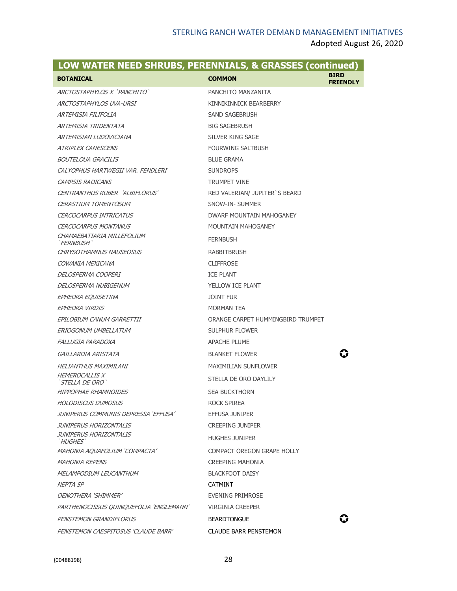| LOW WATER NEED SHRUBS, PERENNIALS, & GRASSES (continued) |                                   |                                |
|----------------------------------------------------------|-----------------------------------|--------------------------------|
| <b>BOTANICAL</b>                                         | <b>COMMON</b>                     | <b>BIRD</b><br><b>FRIENDLY</b> |
| ARCTOSTAPHYLOS X `PANCHITO`                              | PANCHITO MANZANITA                |                                |
| ARCTOSTAPHYLOS UVA-URSI                                  | KINNIKINNICK BFARBERRY            |                                |
| ARTEMISIA FILIFOLIA                                      | SAND SAGEBRUSH                    |                                |
| ARTEMISIA TRIDENTATA                                     | <b>BIG SAGEBRUSH</b>              |                                |
| ARTEMISIAN LUDOVICIANA                                   | SILVER KING SAGE                  |                                |
| <b>ATRIPLEX CANESCENS</b>                                | <b>FOURWING SALTBUSH</b>          |                                |
| <b>BOUTELOUA GRACILIS</b>                                | <b>BLUE GRAMA</b>                 |                                |
| CAI YOPHUS HARTWEGII VAR. FENDI FRI                      | <b>SUNDROPS</b>                   |                                |
| <b>CAMPSIS RADICANS</b>                                  | <b>TRUMPET VINE</b>               |                                |
| CENTRANTHUS RUBER 'ALBIFLORUS'                           | RED VALERIAN/ JUPITER'S BEARD     |                                |
| <b>CERASTIUM TOMENTOSUM</b>                              | SNOW-IN- SUMMER                   |                                |
| <b>CERCOCARPUS INTRICATUS</b>                            | DWARF MOUNTAIN MAHOGANEY          |                                |
| <b>CERCOCARPUS MONTANUS</b>                              | <b>MOUNTAIN MAHOGANEY</b>         |                                |
| CHAMAEBATIARIA MILLEFOLIUM<br>'FERNBUSH'                 | <b>FERNBUSH</b>                   |                                |
| CHRYSOTHAMNUS NAUSEOSUS                                  | <b>RABBITBRUSH</b>                |                                |
| COWANIA MEXICANA                                         | <b>CLIFFROSE</b>                  |                                |
| DELOSPERMA COOPERI                                       | <b>ICE PLANT</b>                  |                                |
| DELOSPERMA NUBIGENUM                                     | YELLOW ICE PLANT                  |                                |
| EPHEDRA EQUISETINA                                       | <b>JOINT FUR</b>                  |                                |
| EPHEDRA VIRDIS                                           | MORMAN TEA                        |                                |
| EPILOBIUM CANUM GARRETTII                                | ORANGE CARPET HUMMINGBIRD TRUMPET |                                |
| ERIOGONUM UMBELLATUM                                     | <b>SULPHUR FLOWER</b>             |                                |
| FALLUGIA PARADOXA                                        | <b>APACHE PLUME</b>               |                                |
| GAILLARDIA ARISTATA                                      | <b>BLANKET FLOWER</b>             |                                |
| HELIANTHUS MAXIMILANI                                    | <b>MAXIMILIAN SUNFLOWER</b>       |                                |
| <b>HEMEROCALLIS X</b><br>`STELLA DE ORO`                 | STELLA DE ORO DAYLILY             |                                |
| <b>HIPPOPHAE RHAMNOIDES</b>                              | <b>SEA BUCKTHORN</b>              |                                |
| <b>HOLODISCUS DUMOSUS</b>                                | ROCK SPIREA                       |                                |
| JUNIPERUS COMMUNIS DEPRESSA 'EFFUSA'                     | <b>EFFUSA JUNIPER</b>             |                                |
| JUNIPERUS HORIZONTALIS                                   | <b>CREEPING JUNIPER</b>           |                                |
| JUNIPERUS HORIZONTALIS<br>`HUGHES`                       | <b>HUGHES JUNIPER</b>             |                                |
| MAHONIA AQUAFOLIUM 'COMPACTA'                            | COMPACT OREGON GRAPE HOLLY        |                                |
| <i>MAHONIA REPENS</i>                                    | <b>CREEPING MAHONIA</b>           |                                |
| <i>MELAMPODIUM LEUCANTHUM</i>                            | <b>BLACKFOOT DAISY</b>            |                                |
| NEPTA SP                                                 | <b>CATMINT</b>                    |                                |
| <i>OENOTHERA 'SHIMMER'</i>                               | EVENING PRIMROSE                  |                                |
| PARTHENOCISSUS QUINQUEFOLIA 'ENGLEMANN'                  | VIRGINIA CREEPER                  |                                |
| PENSTEMON GRANDIFLORUS                                   | <b>BEARDTONGUE</b>                |                                |
| PENSTEMON CAESPITOSUS 'CLAUDE BARR'                      | <b>CLAUDE BARR PENSTEMON</b>      |                                |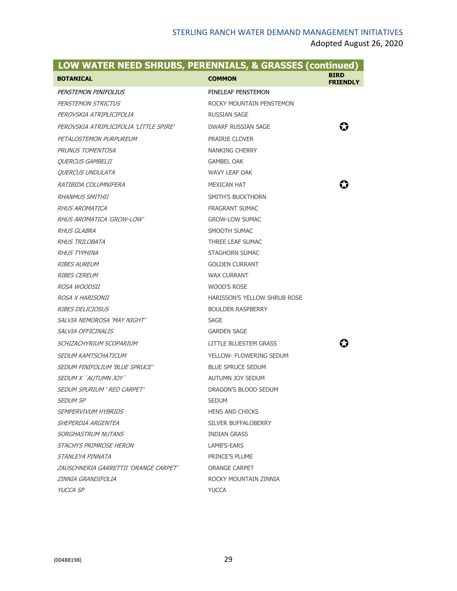| LOW WATER NEED SHRUBS, PERENNIALS, & GRASSES (continued) |                                |                                |
|----------------------------------------------------------|--------------------------------|--------------------------------|
| <b>BOTANICAL</b>                                         | <b>COMMON</b>                  | <b>BIRD</b><br><b>FRIENDLY</b> |
| PENSTEMON PINIFOLIUS                                     | PINELEAF PENSTEMON             |                                |
| <b>PENSTEMON STRICTUS</b>                                | ROCKY MOUNTAIN PENSTEMON       |                                |
| PEROVSKIA ATRIPLICIFOLIA                                 | <b>RUSSIAN SAGE</b>            |                                |
| PEROVSKIA ATRIPLICIFOLIA 'LITTLE SPIRE'                  | DWARF RUSSIAN SAGE             | 63                             |
| PETALOSTEMON PURPUREUM                                   | <b>PRAIRIE CLOVER</b>          |                                |
| PRUNUS TOMENTOSA                                         | <b>NANKING CHERRY</b>          |                                |
| <i><b>OUERCUS GAMBELII</b></i>                           | <b>GAMBEL OAK</b>              |                                |
| <i>QUERCUS UNDULATA</i>                                  | <b>WAVY LEAF OAK</b>           |                                |
| RATIBIDA COLUMNIFERA                                     | <b>MEXICAN HAT</b>             |                                |
| <i>RHANMUS SMITHII</i>                                   | SMITH'S BUCKTHORN              |                                |
| <i>RHUS AROMATICA</i>                                    | <b>FRAGRANT SUMAC</b>          |                                |
| RHUS AROMATICA 'GROW-LOW'                                | <b>GROW-LOW SUMAC</b>          |                                |
| <i>RHUS GLABRA</i>                                       | SMOOTH SUMAC                   |                                |
| <i>RHUS TRILOBATA</i>                                    | THREE LEAF SUMAC               |                                |
| <b>RHUS TYPHINA</b>                                      | <b>STAGHORN SUMAC</b>          |                                |
| <i>RIBES AUREUM</i>                                      | <b>GOLDEN CURRANT</b>          |                                |
| <i>RIBES CEREUM</i>                                      | <b>WAX CURRANT</b>             |                                |
| <i>ROSA WOODSII</i>                                      | WOOD'S ROSE                    |                                |
| <i>ROSA X HARISONII</i>                                  | HARISSON'S YELLOW SHRUB ROSE   |                                |
| <i>RIBES DELICIOSUS</i>                                  | <b>BOULDER RASPBERRY</b>       |                                |
| SALVIA NEMOROSA 'MAY NIGHT'                              | <b>SAGE</b>                    |                                |
| <i>SALVIA OFFICINALIS</i>                                | <b>GARDEN SAGE</b>             |                                |
| SCHIZACHYRIUM SCOPARIUM                                  | LITTLE BLUESTEM GRASS          |                                |
| SEDUM KAMTSCHATICUM                                      | <b>YELLOW- FLOWERING SEDUM</b> |                                |
| SEDUM PINIFOLIUM 'BLUE SPRUCE'                           | <b>BLUE SPRUCE SEDUM</b>       |                                |
| SEDUM X `AUTUMN JOY`                                     | <b>AUTUMN JOY SEDUM</b>        |                                |
| SEDUM SPURIUM ' RED CARPET'                              | DRAGON'S BLOOD SEDUM           |                                |
| SEDUM SP                                                 | <b>SEDUM</b>                   |                                |
| <i>SEMPERVIVUM HYBRIDS</i>                               | <b>HENS AND CHICKS</b>         |                                |
| SHEPERDIA ARGENTEA                                       | SILVER BUFFALOBERRY            |                                |
| SORGHASTRUM NUTANS                                       | <b>INDIAN GRASS</b>            |                                |
| STACHYS PRIMROSE HERON                                   | LAMB'S-EARS                    |                                |
| <i>STANLEYA PINNATA</i>                                  | PRINCE'S PLUME                 |                                |
| ZAUSCHNERIA GARRETTII 'ORANGE CARPET'                    | <b>ORANGE CARPET</b>           |                                |
| ZINNIA GRANDIFOLIA                                       | ROCKY MOUNTAIN ZINNIA          |                                |
| YUCCA SP                                                 | <b>YUCCA</b>                   |                                |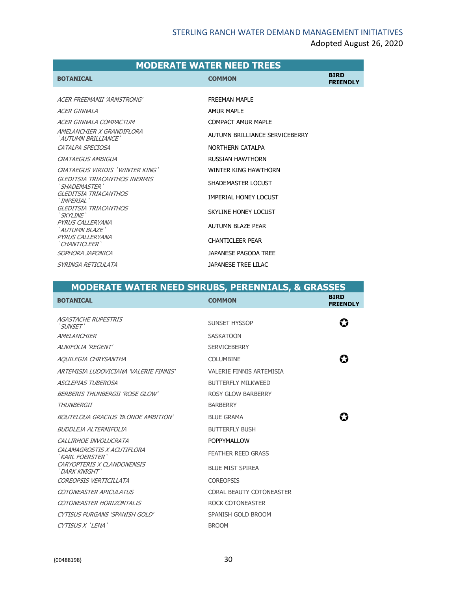|                                                                                                                             | <b>MODERATE WATER NEED TREES</b>                                                                         |                                |
|-----------------------------------------------------------------------------------------------------------------------------|----------------------------------------------------------------------------------------------------------|--------------------------------|
| <b>BOTANICAL</b>                                                                                                            | <b>COMMON</b>                                                                                            | <b>BIRD</b><br><b>FRIENDLY</b> |
| ACER FREEMANII 'ARMSTRONG'<br>ACER GINNALA<br>ACER GINNALA COMPACTUM<br>AMFI ANCHIFR X GRANDIFI ORA<br>'AUTUMN BRIU LIANCE' | <b>FREEMAN MAPLE</b><br><b>AMUR MAPLE</b><br><b>COMPACT AMUR MAPLE</b><br>AUTUMN BRILLIANCE SERVICEBERRY |                                |
| CATALPA SPECIOSA<br><b>CRATAEGUS AMBIGUA</b>                                                                                | NORTHERN CATALPA<br>RUSSIAN HAWTHORN                                                                     |                                |
| CRATAEGUS VIRIDIS 'WINTER KING'<br>GLEDITSIA TRIACANTHOS INERMIS                                                            | WINTER KING HAWTHORN<br>SHADEMASTER LOCUST                                                               |                                |
| `SHADEMASTER`<br>GLEDITSIA TRIACANTHOS<br>`IMPFRIAI`<br>GLEDITSIA TRIACANTHOS                                               | IMPERIAL HONEY LOCUST                                                                                    |                                |
| 'SKYI INF'<br>PYRUS CALLERYANA<br>`AUTUMN BLAZE`                                                                            | SKYLINE HONEY LOCUST<br>AUTUMN BLAZE PEAR                                                                |                                |
| PYRUS CALLERYANA<br>`CHANTICI FFR`                                                                                          | <b>CHANTICLEER PEAR</b>                                                                                  |                                |
| SOPHORA JAPONICA<br>SYRINGA RETICULATA                                                                                      | JAPANESE PAGODA TREE<br>JAPANESE TREE LILAC                                                              |                                |

| <b>MODERATE WATER NEED SHRUBS, PERENNIALS, &amp; GRASSES</b> |                           |                                |
|--------------------------------------------------------------|---------------------------|--------------------------------|
| <b>BOTANICAL</b>                                             | <b>COMMON</b>             | <b>BIRD</b><br><b>FRIENDLY</b> |
| <b>AGASTACHE RUPESTRIS</b><br>'SUNSET'                       | SUNSET HYSSOP             | $\bf G$                        |
| AMELANCHIER                                                  | <b>SASKATOON</b>          |                                |
| ALNIFOLIA 'REGENT'                                           | <b>SERVICEBERRY</b>       |                                |
| AOUILEGIA CHRYSANTHA                                         | COLUMBINE                 |                                |
| ARTEMISIA I UDOVICIANA 'VAI ERIE FINNIS'                     | VALERIE FINNIS ARTEMISIA  |                                |
| <b>ASCLEPIAS TUBEROSA</b>                                    | <b>BUTTERELY MILKWEED</b> |                                |
| BERBERIS THUNBERGII 'ROSE GLOW'                              | <b>ROSY GLOW BARBERRY</b> |                                |
| THUNBERGII                                                   | <b>BARBERRY</b>           |                                |
| BOUTELOUA GRACIUS 'BLONDE AMBITION'                          | <b>BLUE GRAMA</b>         |                                |
| BUDDI FIA AI TERNIFOI IA                                     | <b>BUTTERELY BUSH</b>     |                                |
| CALLIRHOE INVOLUCRATA                                        | POPPYMALLOW               |                                |
| CALAMAGROSTIS X ACUTIFLORA<br>`KARI FOFRSTFR`                | <b>FEATHER REED GRASS</b> |                                |
| CARYOPTERIS X CLANDONENSIS<br>`DARK KNIGHT`                  | <b>BLUF MIST SPIRFA</b>   |                                |
| COREOPSIS VERTICILLATA                                       | <b>COREOPSIS</b>          |                                |
| COTONEASTER APICULATUS                                       | CORAL BEAUTY COTONEASTER  |                                |
| COTONEASTER HORIZONTALIS                                     | ROCK COTONEASTER          |                                |
| CYTISUS PURGANS 'SPANISH GOLD'                               | SPANISH GOLD BROOM        |                                |
| CYTISUS X 'LENA'                                             | <b>BROOM</b>              |                                |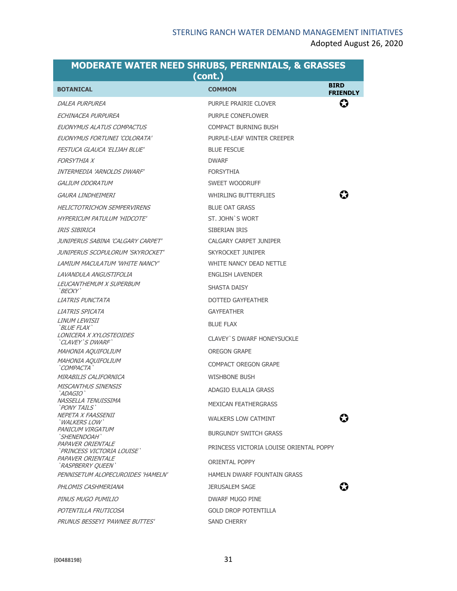| (cont.)                                         |                                         |                                |  |
|-------------------------------------------------|-----------------------------------------|--------------------------------|--|
| <b>BOTANICAL</b>                                | <b>COMMON</b>                           | <b>BIRD</b><br><b>FRIENDLY</b> |  |
| DALEA PURPUREA                                  | PURPLE PRAIRIE CLOVER                   | ⇔                              |  |
| ECHINACEA PURPUREA                              | PURPLE CONEFLOWER                       |                                |  |
| EUONYMUS ALATUS COMPACTUS                       | <b>COMPACT BURNING BUSH</b>             |                                |  |
| EUONYMUS FORTUNEI 'COLORATA'                    | PURPLE-LEAF WINTER CREEPER              |                                |  |
| FESTUCA GLAUCA 'ELIJAH BLUE'                    | <b>BLUE FESCUE</b>                      |                                |  |
| <b>FORSYTHIA X</b>                              | <b>DWARF</b>                            |                                |  |
| INTERMEDIA 'ARNOLDS DWARF'                      | <b>FORSYTHIA</b>                        |                                |  |
| <i>GALIUM ODORATUM</i>                          | SWEET WOODRUFF                          |                                |  |
| <i>GAURA LINDHEIMERI</i>                        | <b>WHIRLING BUTTERFLIES</b>             | 63                             |  |
| <b>HELICTOTRICHON SEMPERVIRENS</b>              | <b>BLUE OAT GRASS</b>                   |                                |  |
| HYPERICUM PATULUM 'HIDCOTE'                     | ST. JOHN'S WORT                         |                                |  |
| IRIS SIBIRICA                                   | SIBERIAN IRIS                           |                                |  |
| JUNIPERUS SABINA 'CALGARY CARPET'               | <b>CALGARY CARPET JUNIPER</b>           |                                |  |
| JUNIPERUS SCOPULORUM 'SKYROCKET'                | SKYROCKET JUNIPER                       |                                |  |
| LAMIUM MACULATUM 'WHITE NANCY'                  | WHITE NANCY DEAD NETTLE                 |                                |  |
| LAVANDULA ANGUSTIFOLIA                          | <b>ENGLISH LAVENDER</b>                 |                                |  |
| <i>LEUCANTHEMUM X SUPERBUM</i><br>`BECKY`       | SHASTA DAISY                            |                                |  |
| LIATRIS PUNCTATA                                | <b>DOTTED GAYFEATHER</b>                |                                |  |
| <i>LIATRIS SPICATA</i>                          | <b>GAYFEATHER</b>                       |                                |  |
| <i>LINUM LEWISII</i><br>`BLUE FLAX`             | <b>BLUE FLAX</b>                        |                                |  |
| LONICERA X XYLOSTEOIDES<br>`CLAVEY`S DWARF`     | CLAVEY'S DWARF HONEYSUCKLE              |                                |  |
| MAHONIA AQUIFOLIUM                              | OREGON GRAPE                            |                                |  |
| MAHONIA AQUIFOLIUM<br>`COMPACTA`                | COMPACT OREGON GRAPE                    |                                |  |
| MIRABILIS CALIFORNICA                           | WISHBONE BUSH                           |                                |  |
| <b>MISCANTHUS SINENSIS</b><br>`ADAGIO`          | ADAGIO EULALIA GRASS                    |                                |  |
| NASSELLA TENUISSIMA<br>'PONY TAILS`             | MEXICAN FFATHERGRASS                    |                                |  |
| NEPETA X FAASSENII<br>WALKERS LOW`              | <b>WALKERS LOW CATMINT</b>              |                                |  |
| PANICUM VIRGATUM<br>` <i>SHENENDOAH`</i>        | <b>BURGUNDY SWITCH GRASS</b>            |                                |  |
| PAPAVER ORIENTALE<br>`PRINCESS VICTORIA LOUISE` | PRINCESS VICTORIA LOUISE ORIENTAL POPPY |                                |  |
| PAPAVER ORIENTALE<br>`RASPBERRY OUEEN`          | ORIENTAL POPPY                          |                                |  |
| PENNISETUM ALOPECUROIDES 'HAMELN'               | <b>HAMELN DWARF FOUNTAIN GRASS</b>      |                                |  |
| PHLOMIS CASHMERIANA                             | <b>JERUSALEM SAGE</b>                   |                                |  |
| PINUS MUGO PUMILIO                              | DWARF MUGO PINE                         |                                |  |
| POTENTILLA FRUTICOSA                            | <b>GOLD DROP POTENTILLA</b>             |                                |  |
| PRUNUS BESSEYI 'PAWNEE BUTTES'                  | SAND CHERRY                             |                                |  |

# **MODERATE WATER NEED SHRUBS, PERENNIALS, & GRASSES**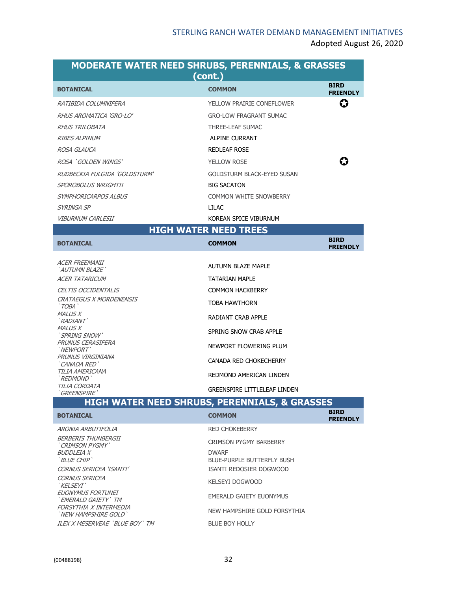| (cont.)                                  |                                   |                                |
|------------------------------------------|-----------------------------------|--------------------------------|
| <b>BOTANICAL</b>                         | <b>COMMON</b>                     | <b>BIRD</b><br><b>FRIENDLY</b> |
| RATIBIDA COLUMNIFERA                     | YELLOW PRAIRIE CONEFLOWER         | $\bf G$                        |
| RHUS AROMATICA 'GRO-LO'                  | <b>GRO-LOW FRAGRANT SUMAC</b>     |                                |
| RHUS TRILOBATA                           | THREE-LEAF SUMAC                  |                                |
| <b>RIBES ALPINUM</b>                     | ALPINE CURRANT                    |                                |
| <i>ROSA GLAUCA</i>                       | <b>REDLEAF ROSE</b>               |                                |
| ROSA 'GOLDEN WINGS'                      | <b>YELLOW ROSE</b>                | 63                             |
| RUDBECKIA FULGIDA 'GOLDSTURM'            | <b>GOLDSTURM BLACK-EYED SUSAN</b> |                                |
| SPOROBOLUS WRIGHTII                      | <b>BIG SACATON</b>                |                                |
| SYMPHORICARPOS ALBUS                     | COMMON WHITE SNOWBERRY            |                                |
| SYRINGA SP                               | TH AC                             |                                |
| <i>VIBURNUM CARLESII</i>                 | KOREAN SPICE VIBURNUM             |                                |
|                                          | <b>HIGH WATER NEED TREES</b>      |                                |
| <b>BOTANICAL</b>                         | <b>COMMON</b>                     | <b>BIRD</b><br><b>FRIENDLY</b> |
| <b>ACER FREEMANII</b>                    |                                   |                                |
| `AUTUMN BLAZE`                           | <b>AUTUMN BLAZE MAPLE</b>         |                                |
| <b>ACER TATARICUM</b>                    | TATARIAN MAPLE                    |                                |
| <b>CELTIS OCCIDENTALIS</b>               | <b>COMMON HACKBERRY</b>           |                                |
| <b>CRATAEGUS X MORDENENSIS</b><br>'TOBA' | TOBA HAWTHORN                     |                                |
| <b>MALUS X</b><br><i>`RADIANT`</i>       | <b>RADIANT CRAB APPLE</b>         |                                |
| <b>MALUS X</b><br>'SPRING SNOW'          | SPRING SNOW CRAB APPLE            |                                |
| PRUNUS CERASIFERA<br>'NEWPORT'           | NEWPORT FLOWERING PLUM            |                                |
| PRUNUS VIRGINIANA<br>'CANADA RED'        | CANADA RED CHOKECHERRY            |                                |
| TILIA AMERICANA                          | DEDMONID AMERICAN LINDEN          |                                |

## **MODERATE WATER NEED SHRUBS, PERENNIALS, & GRASSES**

### **HIGH WATER NEED SHRUBS, PERENNIALS, & GRASSES**

REDMOND AMERICAN LINDEN

GREENSPIRE LITTLELEAF LINDEN

| <b>BOTANICAL</b>                               | <b>COMMON</b>                              | <b>BIRD</b><br><b>FRIENDLY</b> |
|------------------------------------------------|--------------------------------------------|--------------------------------|
| ARONIA ARBUTIFOLIA                             | <b>RED CHOKEBERRY</b>                      |                                |
| BERBERIS THUNBERGII<br>'CRIMSON PYGMY'         | <b>CRIMSON PYGMY BARBERRY</b>              |                                |
| BUDDI FIA X<br>'BI UF CHIP'                    | <b>DWARF</b><br>BLUE-PURPLE BUTTERFLY BUSH |                                |
| CORNUS SERICEA 'ISANTI'                        | ISANTI REDOSIER DOGWOOD                    |                                |
| CORNUS SERICEA<br>`KFI SFYI`                   | KEI SEYI DOGWOOD                           |                                |
| EUONYMUS FORTUNEI<br>`EMERALD GAIETY`TM        | EMERALD GAIETY EUONYMUS                    |                                |
| FORSYTHIA X INTERMEDIA<br>'NFW HAMPSHIRF GOLD' | NEW HAMPSHIRE GOLD FORSYTHIA               |                                |
| II FX X MESERVEAE `BI UE BOY`TM                | BLUE BOY HOLLY                             |                                |

`REDMOND`

TILIA CORDATA `GREENSPIRE`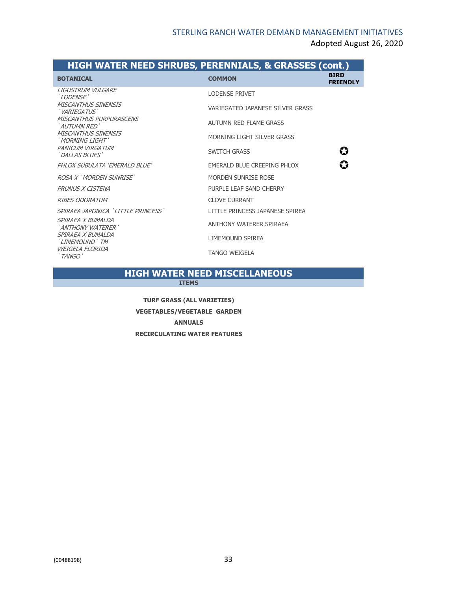#### **HIGH WATER NEED SHRUBS, PERENNIALS, & GRASSES (cont.)**

| <b>BOTANICAL</b>                                    | <b>COMMON</b>                    | <b>BIRD</b><br><b>FRIENDLY</b> |
|-----------------------------------------------------|----------------------------------|--------------------------------|
| I IGUSTRUM VULGARE<br><i>`LODENSE`</i>              | <b>LODENSE PRIVET</b>            |                                |
| <b>MISCANTHUS SINENSIS</b><br>' <i>VARIEGATUS</i> ' | VARIEGATED JAPANESE SILVER GRASS |                                |
| <b>MISCANTHUS PURPURASCENS</b><br>`AUTUMN RFD`      | AUTUMN RED FLAME GRASS           |                                |
| <b>MISCANTHUS SINENSIS</b><br>'MORNING LIGHT'       | MORNING LIGHT SILVER GRASS       |                                |
| PANICUM VIRGATUM<br>`DALLAS BLUES`                  | <b>SWITCH GRASS</b>              | $\boldsymbol{\Omega}$          |
| PHLOX SUBULATA 'EMERALD BLUE'                       | EMERALD BLUE CREEPING PHLOX      | $\boldsymbol{\Omega}$          |
| ROSA X 'MORDEN SUNRISE'                             | MORDEN SUNRISE ROSE              |                                |
| PRUNUS X CISTENA                                    | PURPLE LEAF SAND CHERRY          |                                |
| <b>RIBES ODORATIM</b>                               | <b>CLOVE CURRANT</b>             |                                |
| SPIRAEA JAPONICA `LITTLE PRINCESS`                  | LITTLE PRINCESS JAPANESE SPIREA  |                                |
| SPIRAEA X BUMALDA<br>'ANTHONY WATERER'              | ANTHONY WATERER SPIRAEA          |                                |
| SPIRAEA X BUMALDA<br>'LIMEMOUND' TM                 | LIMEMOUND SPIREA                 |                                |
| WFIGFI A FI ORIDA<br>'TANGO'                        | <b>TANGO WEIGELA</b>             |                                |

## **HIGH WATER NEED MISCELLANEOUS**

**ITEMS**

**TURF GRASS (ALL VARIETIES) VEGETABLES/VEGETABLE GARDEN ANNUALS RECIRCULATING WATER FEATURES**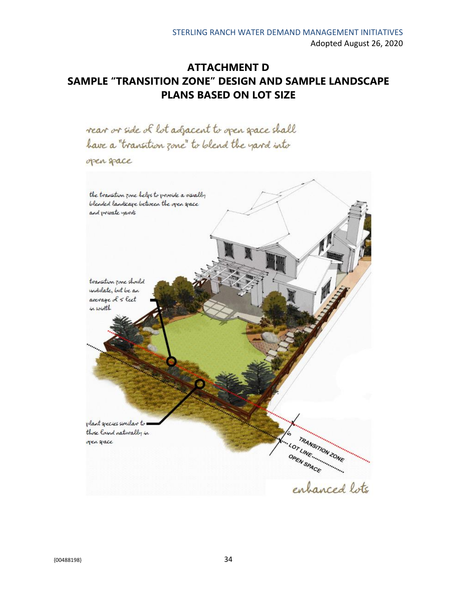## **ATTACHMENT D SAMPLE "TRANSITION ZONE" DESIGN AND SAMPLE LANDSCAPE PLANS BASED ON LOT SIZE**

rear or side of lot adjacent to open space shall have a "transition zone" to blend the yard into

open space

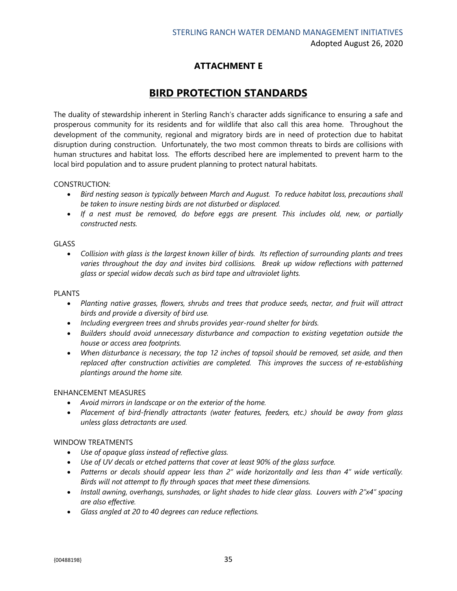### **ATTACHMENT E**

## **BIRD PROTECTION STANDARDS**

The duality of stewardship inherent in Sterling Ranch's character adds significance to ensuring a safe and prosperous community for its residents and for wildlife that also call this area home. Throughout the development of the community, regional and migratory birds are in need of protection due to habitat disruption during construction. Unfortunately, the two most common threats to birds are collisions with human structures and habitat loss. The efforts described here are implemented to prevent harm to the local bird population and to assure prudent planning to protect natural habitats.

#### CONSTRUCTION:

- *Bird nesting season is typically between March and August. To reduce habitat loss, precautions shall be taken to insure nesting birds are not disturbed or displaced.*
- *If a nest must be removed, do before eggs are present. This includes old, new, or partially constructed nests.*

#### **GLASS**

• *Collision with glass is the largest known killer of birds. Its reflection of surrounding plants and trees*  varies throughout the day and invites bird collisions. Break up widow reflections with patterned *glass or special widow decals such as bird tape and ultraviolet lights.*

#### PLANTS

- *Planting native grasses, flowers, shrubs and trees that produce seeds, nectar, and fruit will attract birds and provide a diversity of bird use.*
- *Including evergreen trees and shrubs provides year-round shelter for birds.*
- *Builders should avoid unnecessary disturbance and compaction to existing vegetation outside the house or access area footprints.*
- *When disturbance is necessary, the top 12 inches of topsoil should be removed, set aside, and then replaced after construction activities are completed. This improves the success of re-establishing plantings around the home site.*

#### ENHANCEMENT MEASURES

- *Avoid mirrors in landscape or on the exterior of the home.*
- *Placement of bird-friendly attractants (water features, feeders, etc.) should be away from glass unless glass detractants are used.*

#### WINDOW TREATMENTS

- *Use of opaque glass instead of reflective glass.*
- *Use of UV decals or etched patterns that cover at least 90% of the glass surface.*
- *Patterns or decals should appear less than 2" wide horizontally and less than 4" wide vertically. Birds will not attempt to fly through spaces that meet these dimensions.*
- *Install awning, overhangs, sunshades, or light shades to hide clear glass. Louvers with 2"x4" spacing are also effective.*
- *Glass angled at 20 to 40 degrees can reduce reflections.*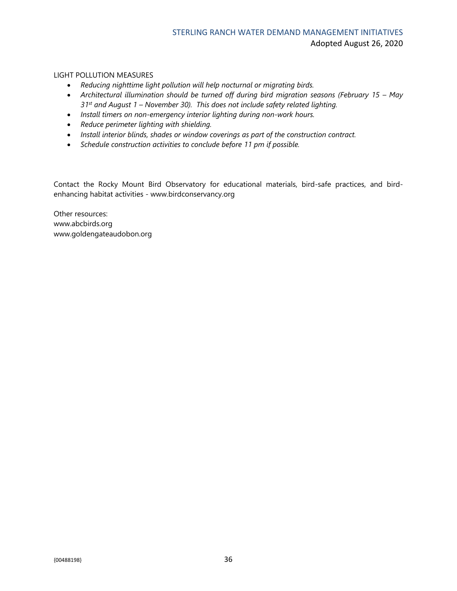#### LIGHT POLLUTION MEASURES

- *Reducing nighttime light pollution will help nocturnal or migrating birds.*
- Architectural illumination should be turned off during bird migration seasons (February 15 May *31st and August 1 – November 30). This does not include safety related lighting.*
- *Install timers on non-emergency interior lighting during non-work hours.*
- *Reduce perimeter lighting with shielding.*
- *Install interior blinds, shades or window coverings as part of the construction contract.*
- *Schedule construction activities to conclude before 11 pm if possible.*

Contact the Rocky Mount Bird Observatory for educational materials, bird-safe practices, and birdenhancing habitat activities - www.birdconservancy.org

Other resources: www.abcbirds.org www.goldengateaudobon.org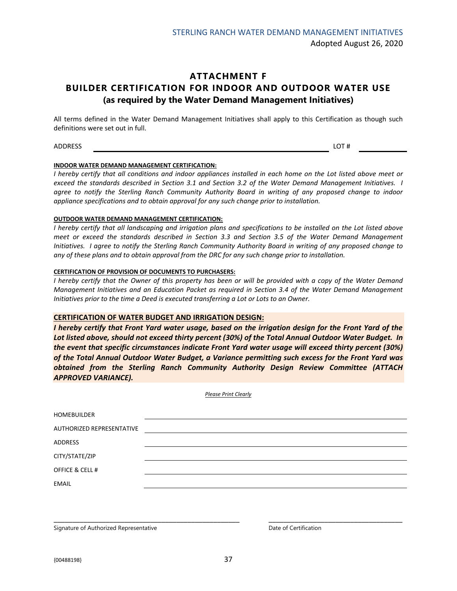#### **ATTACHMENT F BUILDER CERTIFICATION FOR INDOOR AND OUTDOOR WATER USE (as required by the Water Demand Management Initiatives)**

All terms defined in the Water Demand Management Initiatives shall apply to this Certification as though such definitions were set out in full.

 $\blacksquare$ ADDRESS LOT #

#### **INDOOR WATER DEMAND MANAGEMENT CERTIFICATION:**

*I hereby certify that all conditions and indoor appliances installed in each home on the Lot listed above meet or exceed the standards described in Section 3.1 and Section 3.2 of the Water Demand Management Initiatives. I agree to notify the Sterling Ranch Community Authority Board in writing of any proposed change to indoor appliance specifications and to obtain approval for any such change prior to installation.*

#### **OUTDOOR WATER DEMAND MANAGEMENT CERTIFICATION:**

*I hereby certify that all landscaping and irrigation plans and specifications to be installed on the Lot listed above meet or exceed the standards described in Section 3.3 and Section 3.5 of the Water Demand Management Initiatives. I agree to notify the Sterling Ranch Community Authority Board in writing of any proposed change to any of these plans and to obtain approval from the DRC for any such change prior to installation.*

#### **CERTIFICATION OF PROVISION OF DOCUMENTS TO PURCHASERS:**

*I hereby certify that the Owner of this property has been or will be provided with a copy of the Water Demand Management Initiatives and an Education Packet as required in Section 3.4 of the Water Demand Management Initiatives prior to the time a Deed is executed transferring a Lot or Lots to an Owner.*

#### **CERTIFICATION OF WATER BUDGET AND IRRIGATION DESIGN:**

*I hereby certify that Front Yard water usage, based on the irrigation design for the Front Yard of the Lot listed above, should not exceed thirty percent (30%) of the Total Annual Outdoor Water Budget. In the event that specific circumstances indicate Front Yard water usage will exceed thirty percent (30%) of the Total Annual Outdoor Water Budget, a Variance permitting such excess for the Front Yard was obtained from the Sterling Ranch Community Authority Design Review Committee (ATTACH APPROVED VARIANCE).*

*Please Print Clearly*

| <b>HOMEBUILDER</b>        |  |  |
|---------------------------|--|--|
| AUTHORIZED REPRESENTATIVE |  |  |
| ADDRESS                   |  |  |
| CITY/STATE/ZIP            |  |  |
| OFFICE & CELL #           |  |  |
| <b>EMAIL</b>              |  |  |
|                           |  |  |

Signature of Authorized Representative **Date of Certification** Date of Certification

\_\_\_\_\_\_\_\_\_\_\_\_\_\_\_\_\_\_\_\_\_\_\_\_\_\_\_\_\_\_\_\_\_\_\_\_\_\_\_\_\_\_\_\_\_\_\_\_\_\_ \_\_\_\_\_\_\_\_\_\_\_\_\_\_\_\_\_\_\_\_\_\_\_\_\_\_\_\_\_\_\_\_\_\_\_\_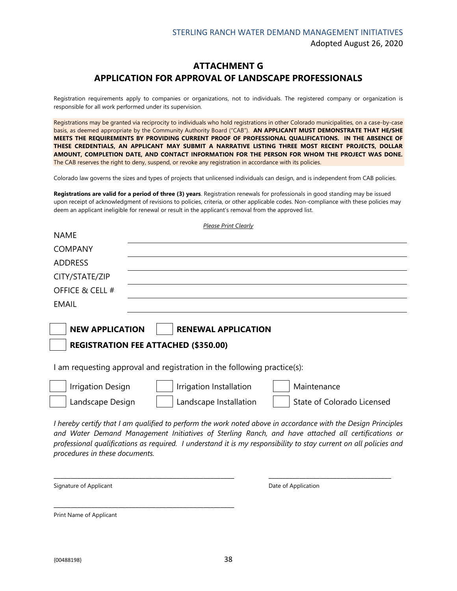#### **ATTACHMENT G APPLICATION FOR APPROVAL OF LANDSCAPE PROFESSIONALS**

Registration requirements apply to companies or organizations, not to individuals. The registered company or organization is responsible for all work performed under its supervision.

Registrations may be granted via reciprocity to individuals who hold registrations in other Colorado municipalities, on a case-by-case basis, as deemed appropriate by the Community Authority Board ("CAB"). **AN APPLICANT MUST DEMONSTRATE THAT HE/SHE MEETS THE REQUIREMENTS BY PROVIDING CURRENT PROOF OF PROFESSIONAL QUALIFICATIONS. IN THE ABSENCE OF THESE CREDENTIALS, AN APPLICANT MAY SUBMIT A NARRATIVE LISTING THREE MOST RECENT PROJECTS, DOLLAR AMOUNT, COMPLETION DATE, AND CONTACT INFORMATION FOR THE PERSON FOR WHOM THE PROJECT WAS DONE.**  The CAB reserves the right to deny, suspend, or revoke any registration in accordance with its policies.

Colorado law governs the sizes and types of projects that unlicensed individuals can design, and is independent from CAB policies.

**Registrations are valid for a period of three (3) years**. Registration renewals for professionals in good standing may be issued upon receipt of acknowledgment of revisions to policies, criteria, or other applicable codes. Non‐compliance with these policies may deem an applicant ineligible for renewal or result in the applicant's removal from the approved list.

| <b>Please Print Clearly</b>                                                                                                                                                                                                                                                                                                                                                |  |  |  |
|----------------------------------------------------------------------------------------------------------------------------------------------------------------------------------------------------------------------------------------------------------------------------------------------------------------------------------------------------------------------------|--|--|--|
| <b>NAME</b>                                                                                                                                                                                                                                                                                                                                                                |  |  |  |
| <b>COMPANY</b>                                                                                                                                                                                                                                                                                                                                                             |  |  |  |
| <b>ADDRESS</b>                                                                                                                                                                                                                                                                                                                                                             |  |  |  |
| CITY/STATE/ZIP                                                                                                                                                                                                                                                                                                                                                             |  |  |  |
| OFFICE & CELL #                                                                                                                                                                                                                                                                                                                                                            |  |  |  |
| EMAIL                                                                                                                                                                                                                                                                                                                                                                      |  |  |  |
|                                                                                                                                                                                                                                                                                                                                                                            |  |  |  |
| <b>NEW APPLICATION</b><br><b>RENEWAL APPLICATION</b>                                                                                                                                                                                                                                                                                                                       |  |  |  |
| <b>REGISTRATION FEE ATTACHED (\$350.00)</b>                                                                                                                                                                                                                                                                                                                                |  |  |  |
| I am requesting approval and registration in the following practice(s):                                                                                                                                                                                                                                                                                                    |  |  |  |
| <b>Irrigation Design</b><br>Irrigation Installation<br>Maintenance                                                                                                                                                                                                                                                                                                         |  |  |  |
| Landscape Design<br>Landscape Installation<br>State of Colorado Licensed                                                                                                                                                                                                                                                                                                   |  |  |  |
| I hereby certify that I am qualified to perform the work noted above in accordance with the Design Principles<br>and Water Demand Management Initiatives of Sterling Ranch, and have attached all certifications or<br>professional qualifications as required. I understand it is my responsibility to stay current on all policies and<br>procedures in these documents. |  |  |  |

Signature of Applicant **Date of Application** Date of Application

Print Name of Applicant

\_\_\_\_\_\_\_\_\_\_\_\_\_\_\_\_\_\_\_\_\_\_\_\_\_\_\_\_\_\_\_\_\_\_\_\_\_\_\_\_\_\_\_\_\_\_\_\_\_\_\_\_\_

\_\_\_\_\_\_\_\_\_\_\_\_\_\_\_\_\_\_\_\_\_\_\_\_\_\_\_\_\_\_\_\_\_\_\_\_\_\_\_\_\_\_\_\_\_\_\_\_\_\_\_\_\_ \_\_\_\_\_\_\_\_\_\_\_\_\_\_\_\_\_\_\_\_\_\_\_\_\_\_\_\_\_\_\_\_\_\_\_\_